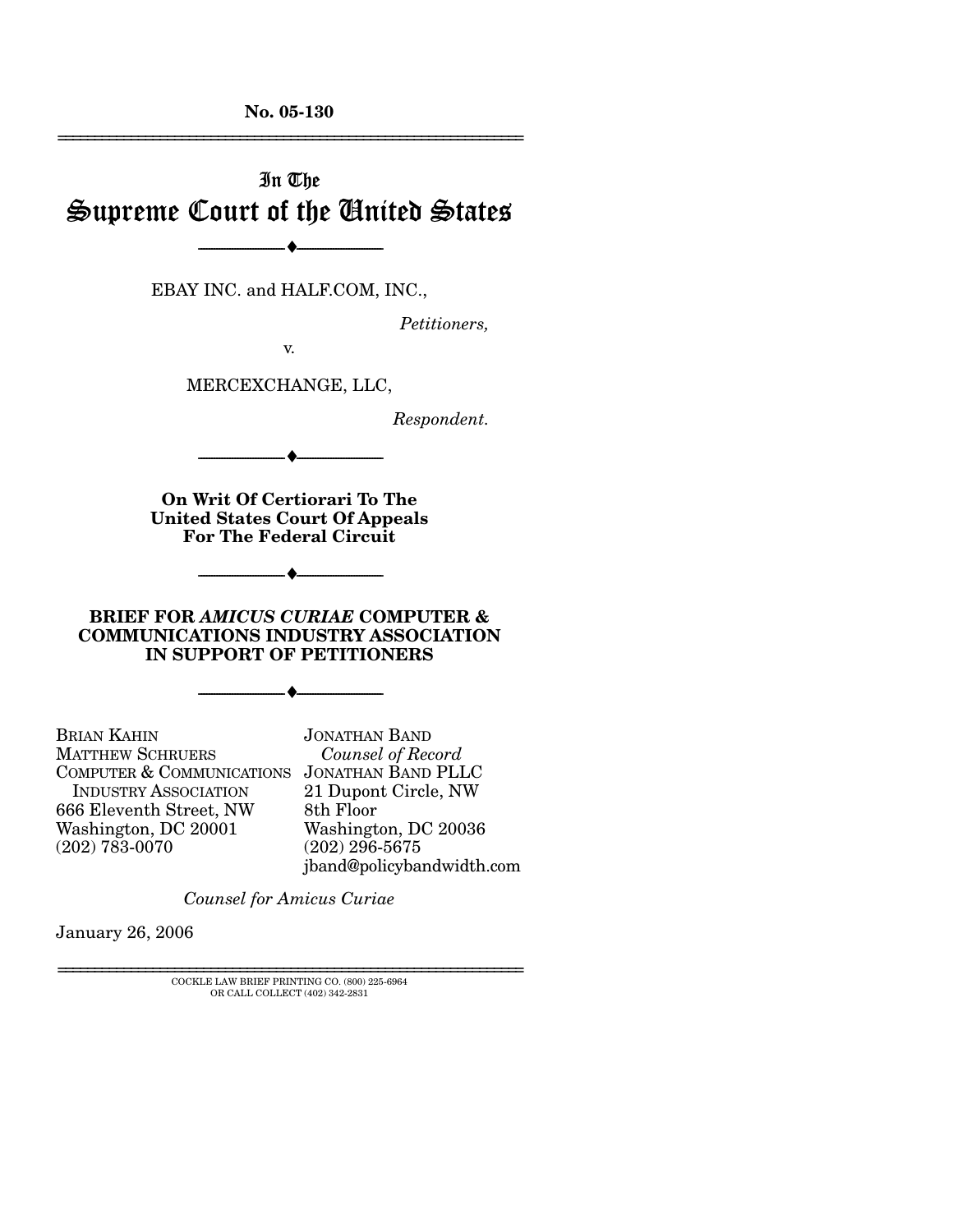**No. 05-130**  ================================================================

# In The Supreme Court of the United States

--------------------------------- ♦ ---------------------------------

EBAY INC. and HALF.COM, INC.,

*Petitioners,* 

v.

MERCEXCHANGE, LLC,

*Respondent.* 

--------------------------------- ♦ ---------------------------------

**On Writ Of Certiorari To The United States Court Of Appeals For The Federal Circuit**

--------------------------------- ♦ ---------------------------------

### **BRIEF FOR** *AMICUS CURIAE* **COMPUTER & COMMUNICATIONS INDUSTRY ASSOCIATION IN SUPPORT OF PETITIONERS**

--------------------------------- ♦ ---------------------------------

BRIAN KAHIN MATTHEW SCHRUERS COMPUTER & COMMUNICATIONS JONATHAN BAND PLLC INDUSTRY ASSOCIATION 666 Eleventh Street, NW Washington, DC 20001 (202) 783-0070

JONATHAN BAND *Counsel of Record* 21 Dupont Circle, NW 8th Floor Washington, DC 20036 (202) 296-5675 jband@policybandwidth.com

*Counsel for Amicus Curiae*

January 26, 2006

 ${\rm COCKLE}$  LAW BRIEF PRINTING CO. (800) 225-6964 OR CALL COLLECT (402) 342-2831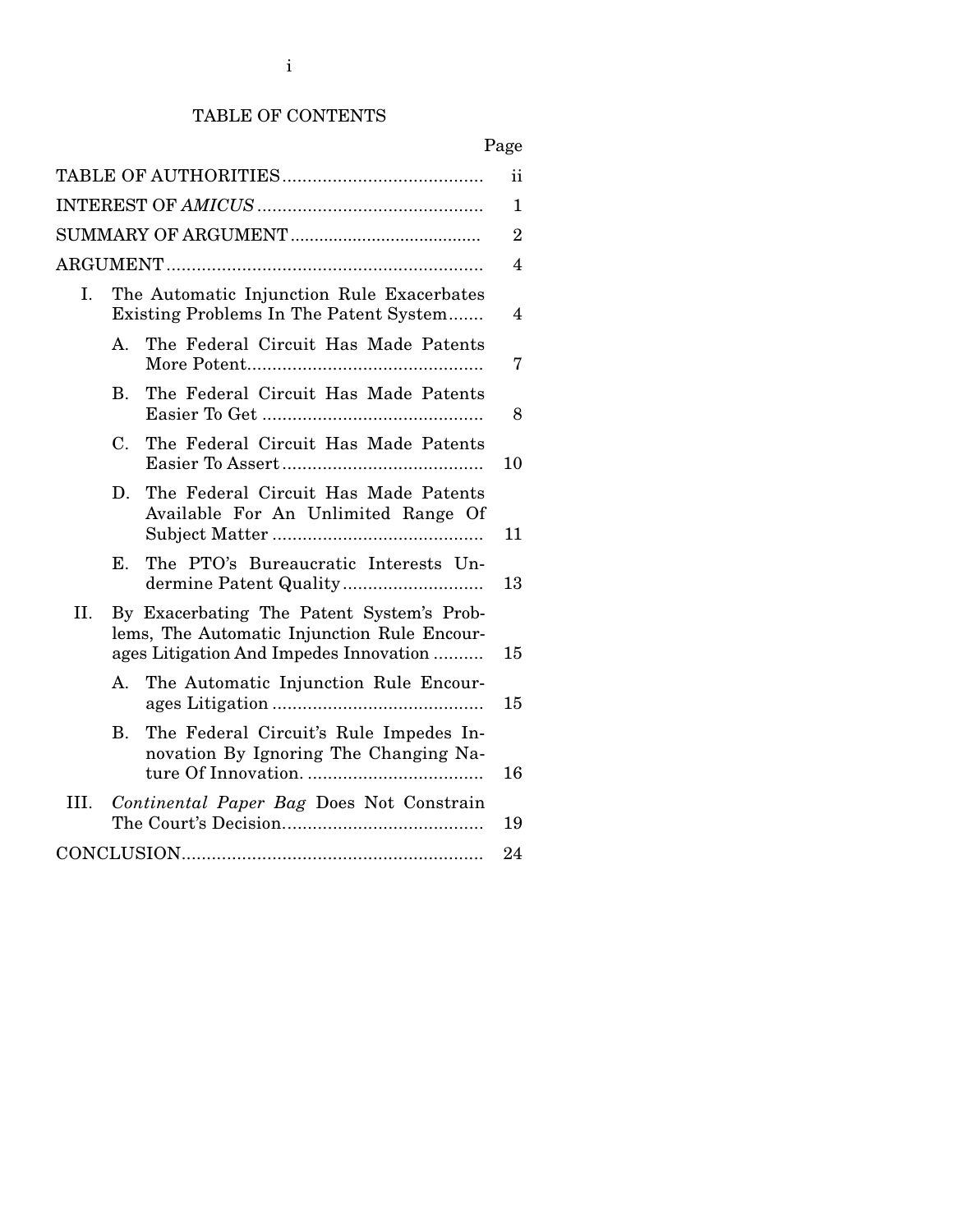# TABLE OF CONTENTS

| ii             |                |                                                                                                                                    |                |  |
|----------------|----------------|------------------------------------------------------------------------------------------------------------------------------------|----------------|--|
| $\mathbf{1}$   |                |                                                                                                                                    |                |  |
| $\overline{2}$ |                |                                                                                                                                    |                |  |
|                |                |                                                                                                                                    | $\overline{4}$ |  |
| I.             |                | The Automatic Injunction Rule Exacerbates<br>Existing Problems In The Patent System                                                | $\overline{4}$ |  |
|                | $A_{-}$        | The Federal Circuit Has Made Patents                                                                                               | 7              |  |
|                | $\mathbf{B}$ . | The Federal Circuit Has Made Patents                                                                                               | 8              |  |
|                | C.             | The Federal Circuit Has Made Patents                                                                                               | 10             |  |
|                | D.             | The Federal Circuit Has Made Patents<br>Available For An Unlimited Range Of                                                        | 11             |  |
|                | Е.             | The PTO's Bureaucratic Interests Un-                                                                                               | 13             |  |
| II.            |                | By Exacerbating The Patent System's Prob-<br>lems, The Automatic Injunction Rule Encour-<br>ages Litigation And Impedes Innovation | 15             |  |
|                | $A_{-}$        | The Automatic Injunction Rule Encour-                                                                                              | 15             |  |
|                | $\mathbf{B}$ . | The Federal Circuit's Rule Impedes In-<br>novation By Ignoring The Changing Na-                                                    | 16             |  |
| III.           |                | Continental Paper Bag Does Not Constrain                                                                                           | 19             |  |
|                |                |                                                                                                                                    | 24             |  |
|                |                |                                                                                                                                    |                |  |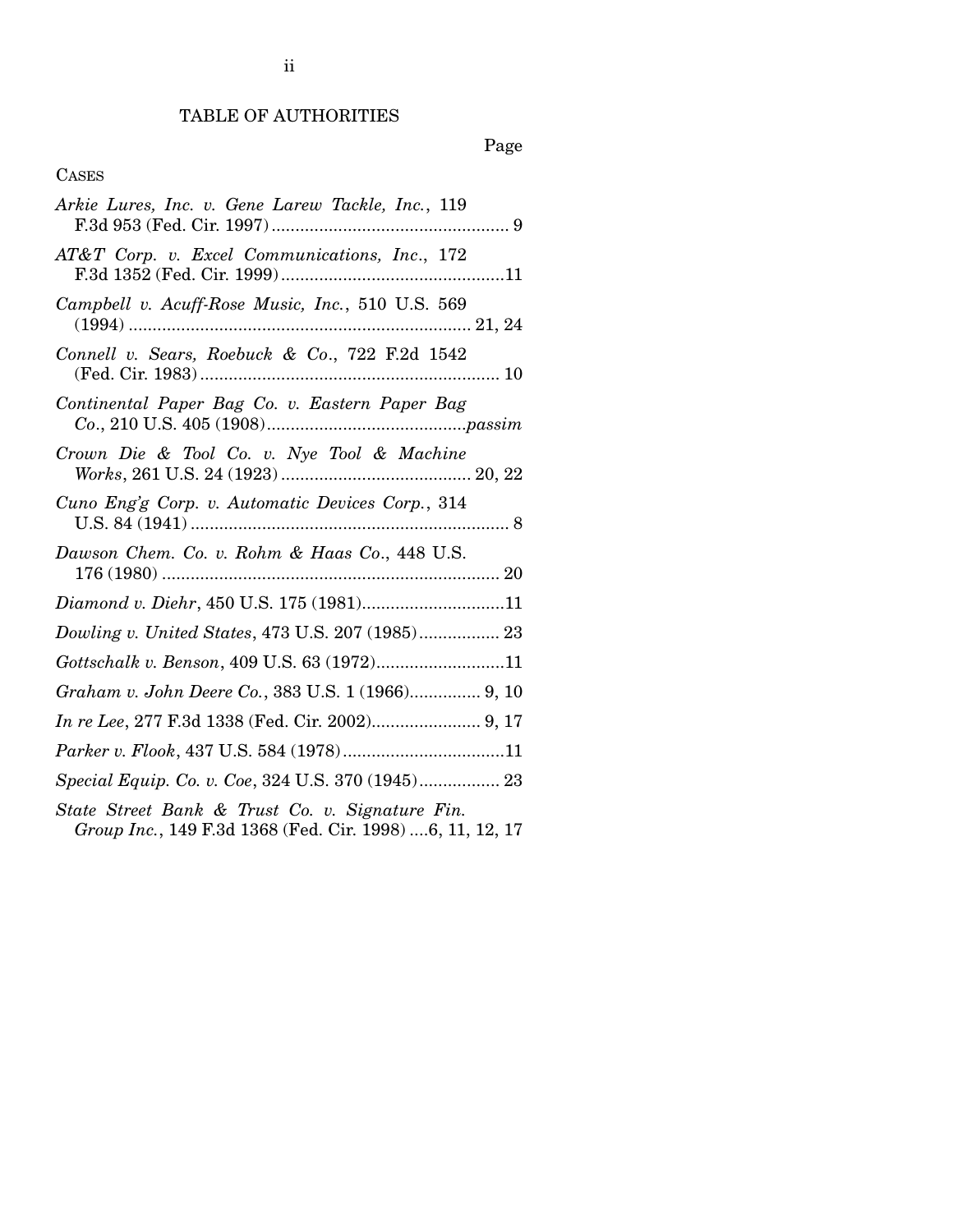# TABLE OF AUTHORITIES

# Page

# CASES

| Arkie Lures, Inc. v. Gene Larew Tackle, Inc., 119                                                           |
|-------------------------------------------------------------------------------------------------------------|
| AT&T Corp. v. Excel Communications, Inc., 172                                                               |
| Campbell v. Acuff-Rose Music, Inc., 510 U.S. 569                                                            |
| Connell v. Sears, Roebuck & Co., 722 F.2d 1542                                                              |
| Continental Paper Bag Co. v. Eastern Paper Bag                                                              |
| Crown Die & Tool Co. v. Nye Tool & Machine                                                                  |
| Cuno Eng'g Corp. v. Automatic Devices Corp., 314                                                            |
| Dawson Chem. Co. v. Rohm & Haas Co., 448 U.S.                                                               |
|                                                                                                             |
| Dowling v. United States, 473 U.S. 207 (1985) 23                                                            |
| Gottschalk v. Benson, 409 U.S. 63 (1972)11                                                                  |
| Graham v. John Deere Co., 383 U.S. 1 (1966) 9, 10                                                           |
|                                                                                                             |
|                                                                                                             |
| Special Equip. Co. v. Coe, 324 U.S. 370 (1945) 23                                                           |
| State Street Bank & Trust Co. v. Signature Fin.<br>Group Inc., 149 F.3d 1368 (Fed. Cir. 1998) 6, 11, 12, 17 |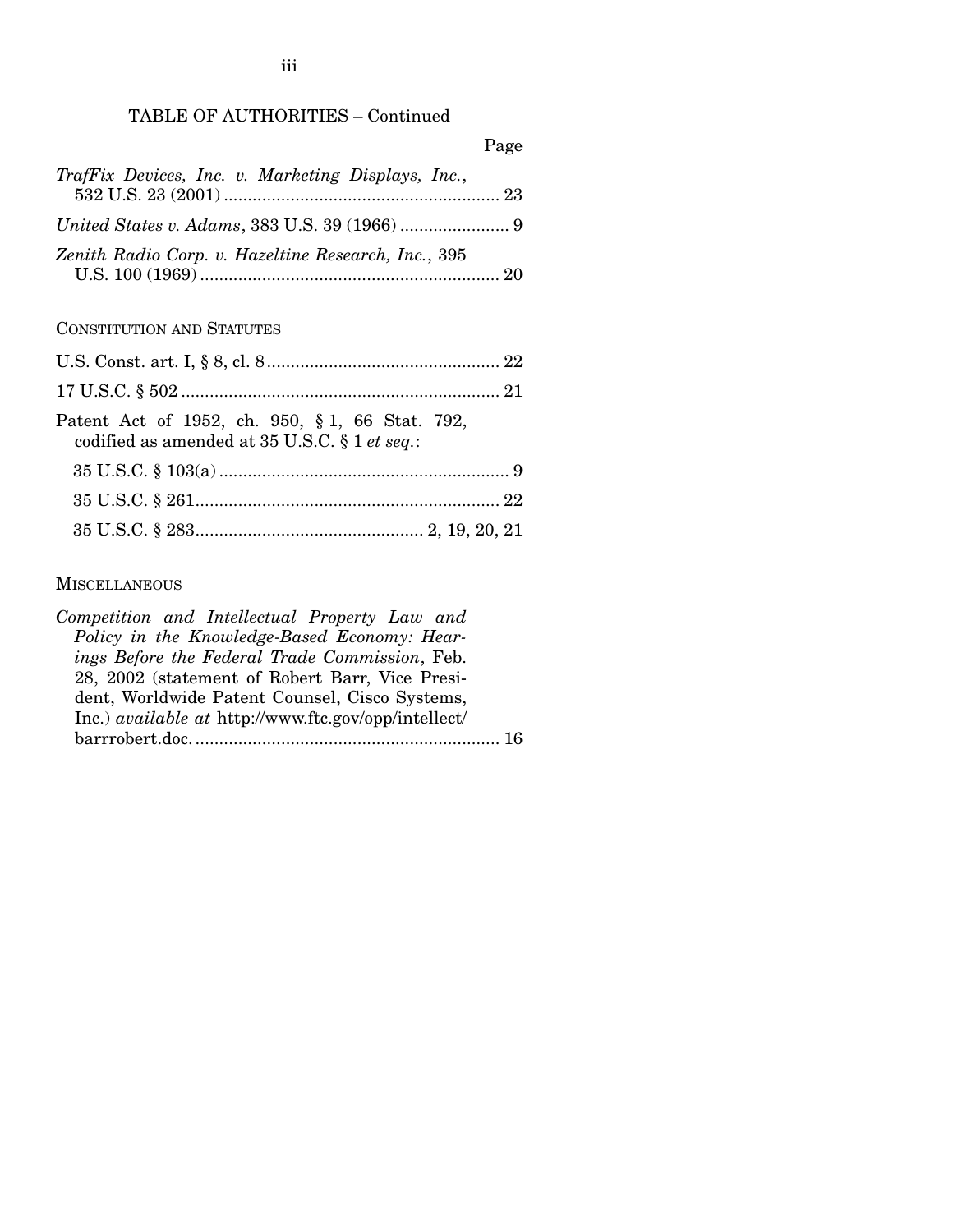# TABLE OF AUTHORITIES – Continued

|                                                     | Page |
|-----------------------------------------------------|------|
| TrafFix Devices, Inc. v. Marketing Displays, Inc.,  |      |
|                                                     |      |
| Zenith Radio Corp. v. Hazeltine Research, Inc., 395 |      |

# CONSTITUTION AND STATUTES

| Patent Act of 1952, ch. 950, § 1, 66 Stat. 792,<br>codified as amended at 35 U.S.C. § 1 et seq.: |  |
|--------------------------------------------------------------------------------------------------|--|
|                                                                                                  |  |
|                                                                                                  |  |
|                                                                                                  |  |

### **MISCELLANEOUS**

*Competition and Intellectual Property Law and Policy in the Knowledge-Based Economy: Hearings Before the Federal Trade Commission*, Feb. 28, 2002 (statement of Robert Barr, Vice President, Worldwide Patent Counsel, Cisco Systems, Inc.) *available at* http://www.ftc.gov/opp/intellect/ barrrobert.doc................................................................. 16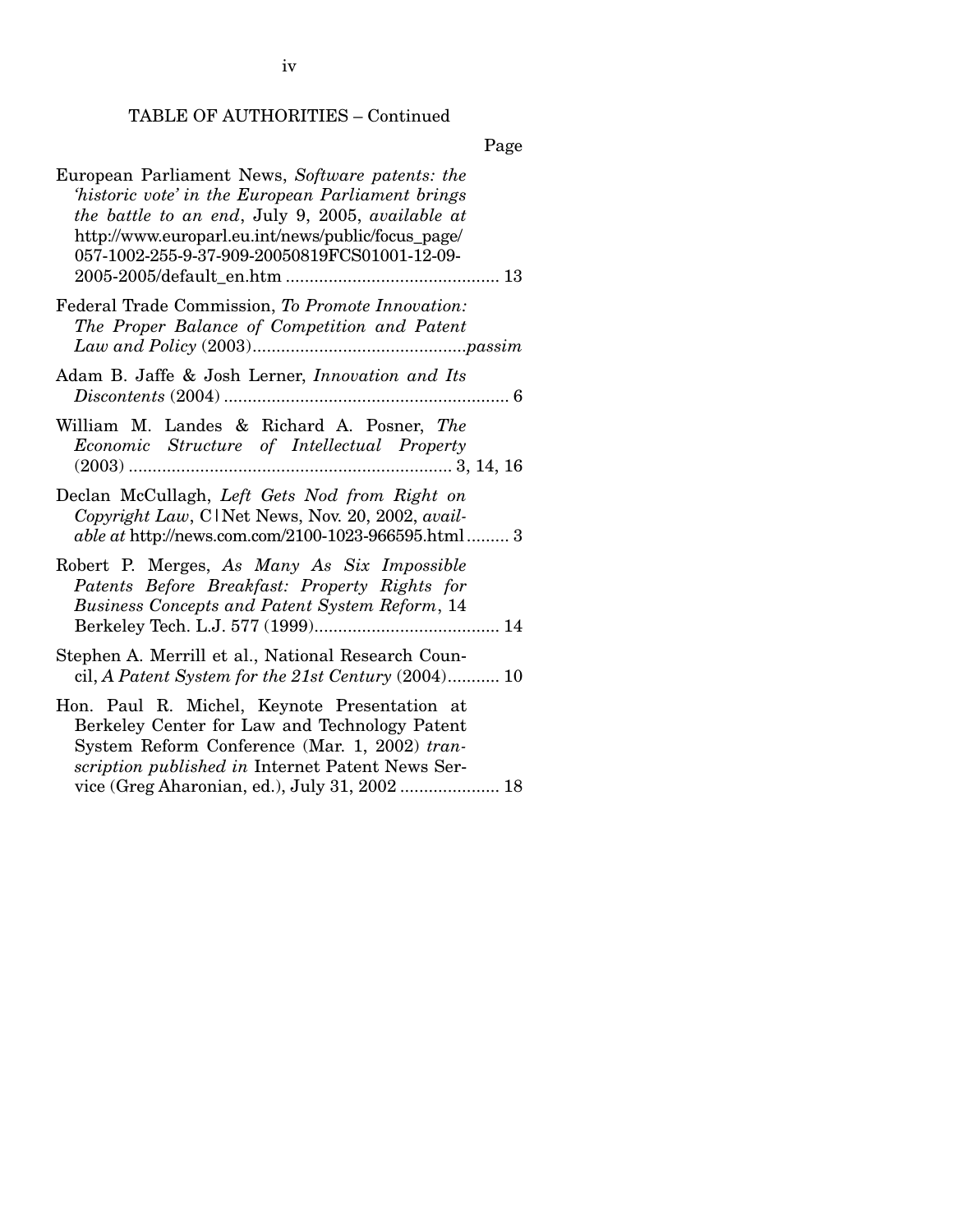iv

# TABLE OF AUTHORITIES – Continued

Page

| European Parliament News, Software patents: the<br>'historic vote' in the European Parliament brings<br>the battle to an end, July 9, 2005, available at<br>http://www.europarl.eu.int/news/public/focus_page/<br>057-1002-255-9-37-909-20050819FCS01001-12-09- |
|-----------------------------------------------------------------------------------------------------------------------------------------------------------------------------------------------------------------------------------------------------------------|
| Federal Trade Commission, To Promote Innovation:<br>The Proper Balance of Competition and Patent                                                                                                                                                                |
| Adam B. Jaffe & Josh Lerner, <i>Innovation and Its</i>                                                                                                                                                                                                          |
| William M. Landes & Richard A. Posner, The<br>Economic Structure of Intellectual Property                                                                                                                                                                       |
| Declan McCullagh, Left Gets Nod from Right on<br>Copyright Law, C1Net News, Nov. 20, 2002, avail-<br>able at http://news.com.com/2100-1023-966595.html 3                                                                                                        |
| Robert P. Merges, As Many As Six Impossible<br>Patents Before Breakfast: Property Rights for<br>Business Concepts and Patent System Reform, 14                                                                                                                  |
| Stephen A. Merrill et al., National Research Coun-<br>cil, A Patent System for the $21st$ Century $(2004)$ 10                                                                                                                                                   |
| Hon. Paul R. Michel, Keynote Presentation at<br>Berkeley Center for Law and Technology Patent<br>System Reform Conference (Mar. 1, 2002) tran-<br>scription published in Internet Patent News Ser-                                                              |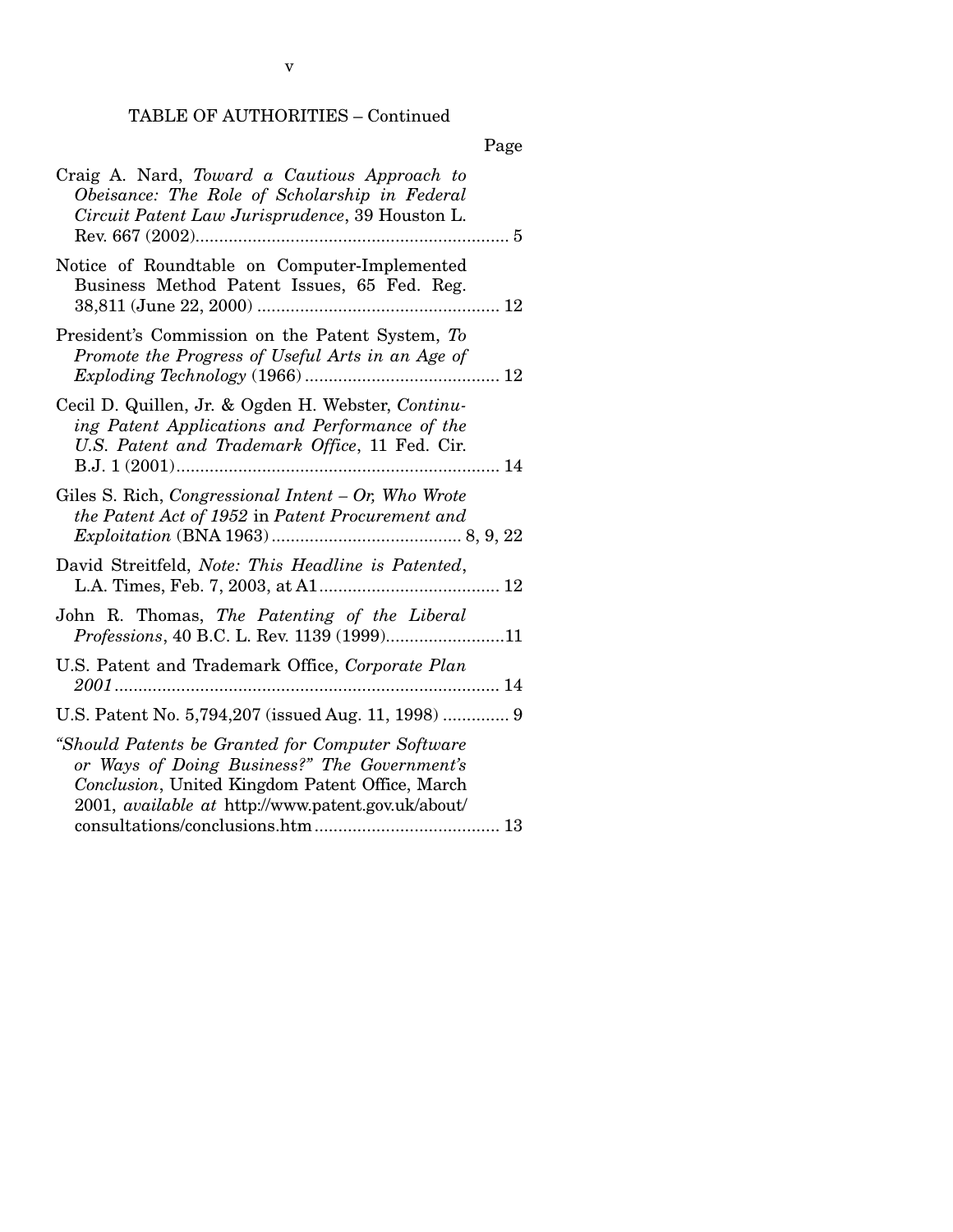# TABLE OF AUTHORITIES – Continued

v

|                                                                                                                                                                                                                  | Page |
|------------------------------------------------------------------------------------------------------------------------------------------------------------------------------------------------------------------|------|
| Craig A. Nard, Toward a Cautious Approach to<br>Obeisance: The Role of Scholarship in Federal<br>Circuit Patent Law Jurisprudence, 39 Houston L.<br>Rev. 667 (2002)                                              |      |
| Notice of Roundtable on Computer-Implemented<br>Business Method Patent Issues, 65 Fed. Reg.                                                                                                                      |      |
| President's Commission on the Patent System, To<br>Promote the Progress of Useful Arts in an Age of                                                                                                              |      |
| Cecil D. Quillen, Jr. & Ogden H. Webster, Continu-<br>ing Patent Applications and Performance of the<br>U.S. Patent and Trademark Office, 11 Fed. Cir.                                                           |      |
| Giles S. Rich, Congressional Intent - Or, Who Wrote<br>the Patent Act of 1952 in Patent Procurement and                                                                                                          |      |
| David Streitfeld, Note: This Headline is Patented,                                                                                                                                                               |      |
| John R. Thomas, The Patenting of the Liberal<br>Professions, 40 B.C. L. Rev. 1139 (1999)11                                                                                                                       |      |
| U.S. Patent and Trademark Office, Corporate Plan                                                                                                                                                                 |      |
| U.S. Patent No. 5,794,207 (issued Aug. 11, 1998)  9                                                                                                                                                              |      |
| "Should Patents be Granted for Computer Software<br>or Ways of Doing Business?" The Government's<br>Conclusion, United Kingdom Patent Office, March<br>2001, <i>available at http://www.patent.gov.uk/about/</i> |      |
|                                                                                                                                                                                                                  |      |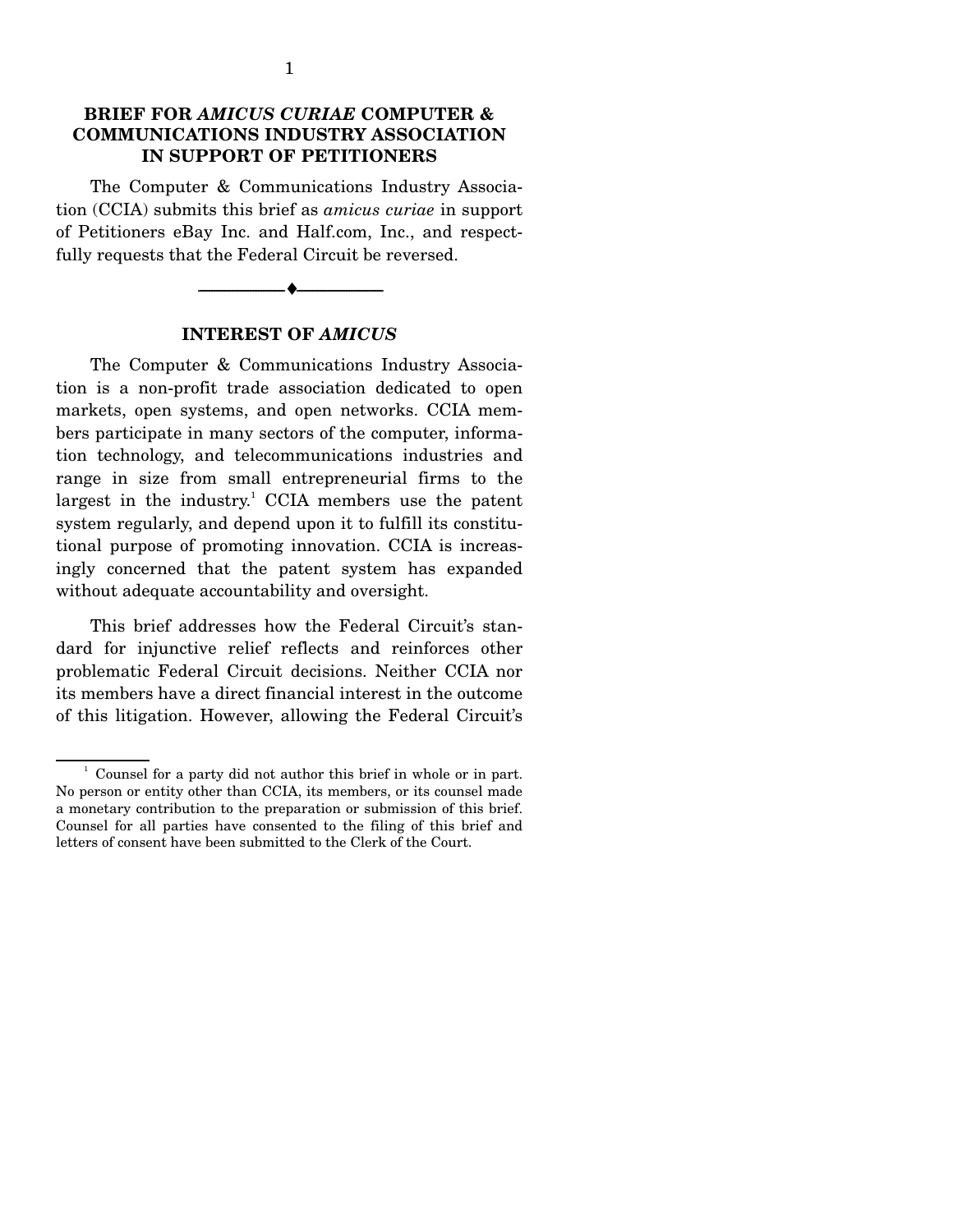# **BRIEF FOR** *AMICUS CURIAE* **COMPUTER & COMMUNICATIONS INDUSTRY ASSOCIATION IN SUPPORT OF PETITIONERS**

 The Computer & Communications Industry Association (CCIA) submits this brief as *amicus curiae* in support of Petitioners eBay Inc. and Half.com, Inc., and respectfully requests that the Federal Circuit be reversed.

> --------------------------------- ♦ --------------------------------- **INTEREST OF** *AMICUS*

 The Computer & Communications Industry Association is a non-profit trade association dedicated to open markets, open systems, and open networks. CCIA members participate in many sectors of the computer, information technology, and telecommunications industries and range in size from small entrepreneurial firms to the largest in the industry.<sup>1</sup> CCIA members use the patent system regularly, and depend upon it to fulfill its constitutional purpose of promoting innovation. CCIA is increasingly concerned that the patent system has expanded without adequate accountability and oversight.

 This brief addresses how the Federal Circuit's standard for injunctive relief reflects and reinforces other problematic Federal Circuit decisions. Neither CCIA nor its members have a direct financial interest in the outcome of this litigation. However, allowing the Federal Circuit's

 $\frac{1}{2}$  Counsel for a party did not author this brief in whole or in part. No person or entity other than CCIA, its members, or its counsel made a monetary contribution to the preparation or submission of this brief. Counsel for all parties have consented to the filing of this brief and letters of consent have been submitted to the Clerk of the Court.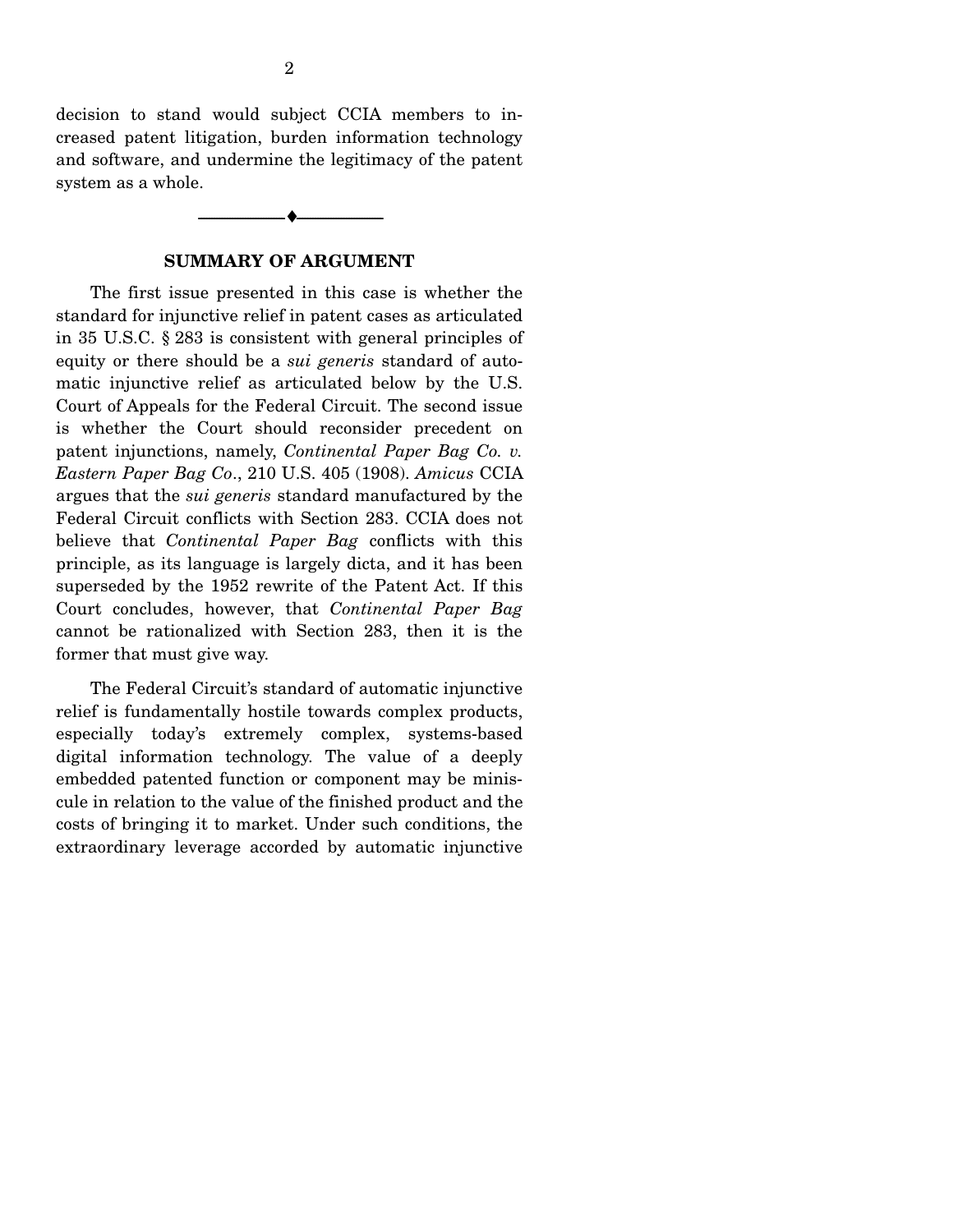decision to stand would subject CCIA members to increased patent litigation, burden information technology and software, and undermine the legitimacy of the patent system as a whole.

### **SUMMARY OF ARGUMENT**

--------------------------------- ♦ ---------------------------------

 The first issue presented in this case is whether the standard for injunctive relief in patent cases as articulated in 35 U.S.C. § 283 is consistent with general principles of equity or there should be a *sui generis* standard of automatic injunctive relief as articulated below by the U.S. Court of Appeals for the Federal Circuit. The second issue is whether the Court should reconsider precedent on patent injunctions, namely, *Continental Paper Bag Co. v. Eastern Paper Bag Co*., 210 U.S. 405 (1908). *Amicus* CCIA argues that the *sui generis* standard manufactured by the Federal Circuit conflicts with Section 283. CCIA does not believe that *Continental Paper Bag* conflicts with this principle, as its language is largely dicta, and it has been superseded by the 1952 rewrite of the Patent Act. If this Court concludes, however, that *Continental Paper Bag*  cannot be rationalized with Section 283, then it is the former that must give way.

 The Federal Circuit's standard of automatic injunctive relief is fundamentally hostile towards complex products, especially today's extremely complex, systems-based digital information technology. The value of a deeply embedded patented function or component may be miniscule in relation to the value of the finished product and the costs of bringing it to market. Under such conditions, the extraordinary leverage accorded by automatic injunctive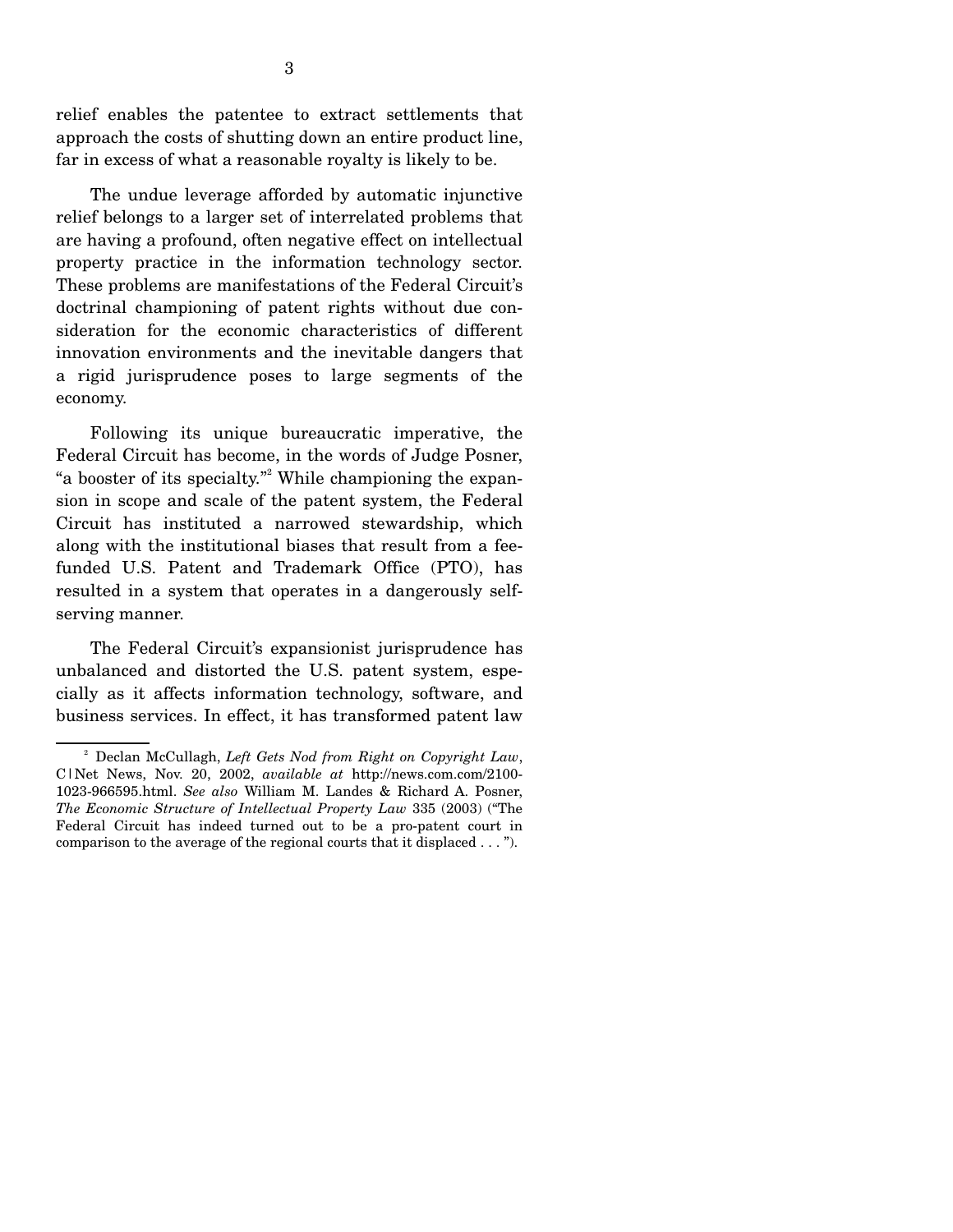relief enables the patentee to extract settlements that approach the costs of shutting down an entire product line, far in excess of what a reasonable royalty is likely to be.

 The undue leverage afforded by automatic injunctive relief belongs to a larger set of interrelated problems that are having a profound, often negative effect on intellectual property practice in the information technology sector. These problems are manifestations of the Federal Circuit's doctrinal championing of patent rights without due consideration for the economic characteristics of different innovation environments and the inevitable dangers that a rigid jurisprudence poses to large segments of the economy.

 Following its unique bureaucratic imperative, the Federal Circuit has become, in the words of Judge Posner, "a booster of its specialty."<sup>2</sup> While championing the expansion in scope and scale of the patent system, the Federal Circuit has instituted a narrowed stewardship, which along with the institutional biases that result from a feefunded U.S. Patent and Trademark Office (PTO), has resulted in a system that operates in a dangerously selfserving manner.

 The Federal Circuit's expansionist jurisprudence has unbalanced and distorted the U.S. patent system, especially as it affects information technology, software, and business services. In effect, it has transformed patent law

<sup>&</sup>lt;sup>2</sup> Declan McCullagh, Left Gets Nod from Right on Copyright Law, C|Net News, Nov. 20, 2002, *available at* http://news.com.com/2100- 1023-966595.html. *See also* William M. Landes & Richard A. Posner, *The Economic Structure of Intellectual Property Law* 335 (2003) ("The Federal Circuit has indeed turned out to be a pro-patent court in comparison to the average of the regional courts that it displaced . . . ").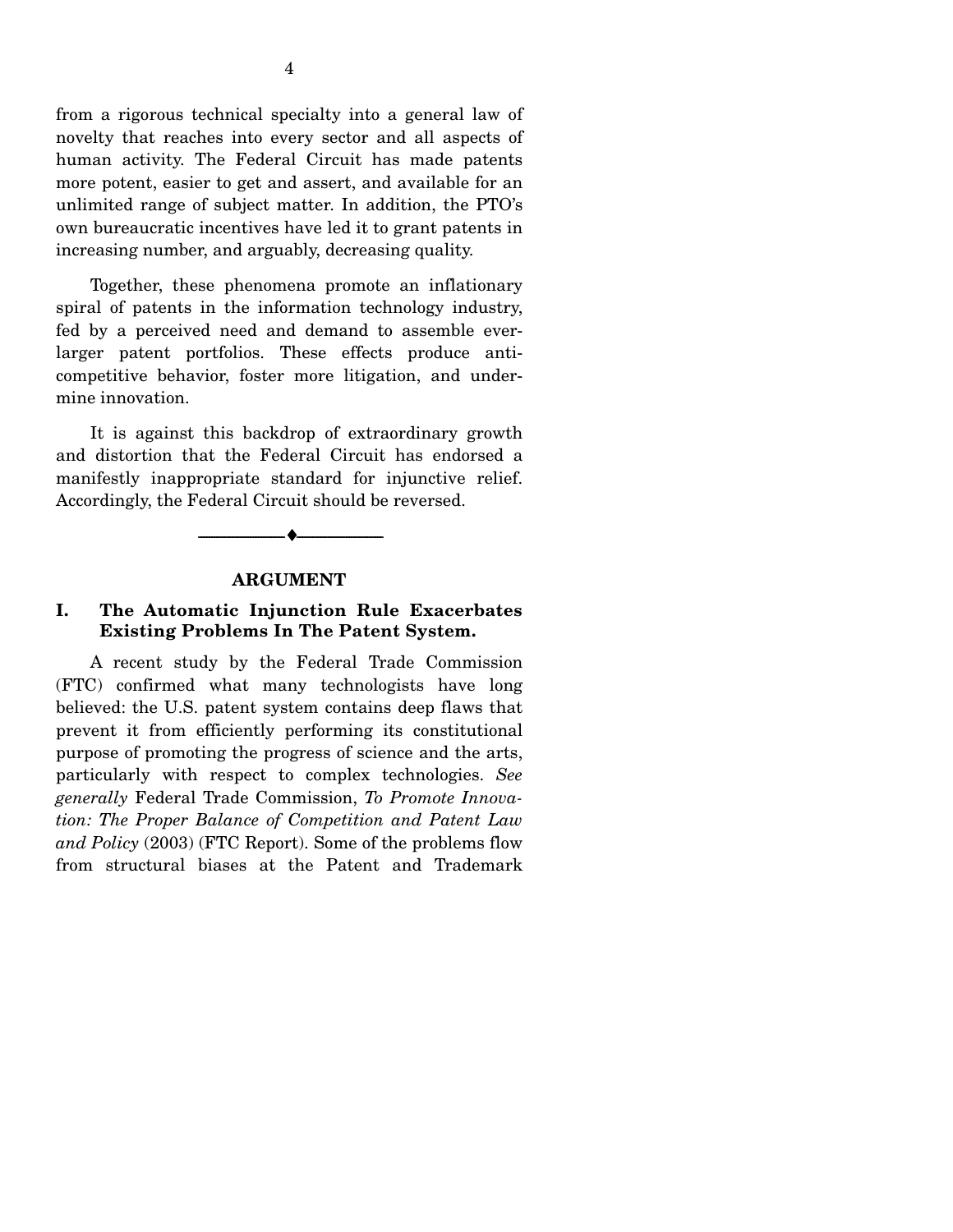from a rigorous technical specialty into a general law of novelty that reaches into every sector and all aspects of human activity. The Federal Circuit has made patents more potent, easier to get and assert, and available for an unlimited range of subject matter. In addition, the PTO's own bureaucratic incentives have led it to grant patents in increasing number, and arguably, decreasing quality.

 Together, these phenomena promote an inflationary spiral of patents in the information technology industry, fed by a perceived need and demand to assemble everlarger patent portfolios. These effects produce anticompetitive behavior, foster more litigation, and undermine innovation.

 It is against this backdrop of extraordinary growth and distortion that the Federal Circuit has endorsed a manifestly inappropriate standard for injunctive relief. Accordingly, the Federal Circuit should be reversed.

#### **ARGUMENT**

--------------------------------- ♦ ---------------------------------

# **I. The Automatic Injunction Rule Exacerbates Existing Problems In The Patent System.**

 A recent study by the Federal Trade Commission (FTC) confirmed what many technologists have long believed: the U.S. patent system contains deep flaws that prevent it from efficiently performing its constitutional purpose of promoting the progress of science and the arts, particularly with respect to complex technologies. *See generally* Federal Trade Commission, *To Promote Innovation: The Proper Balance of Competition and Patent Law and Policy* (2003) (FTC Report). Some of the problems flow from structural biases at the Patent and Trademark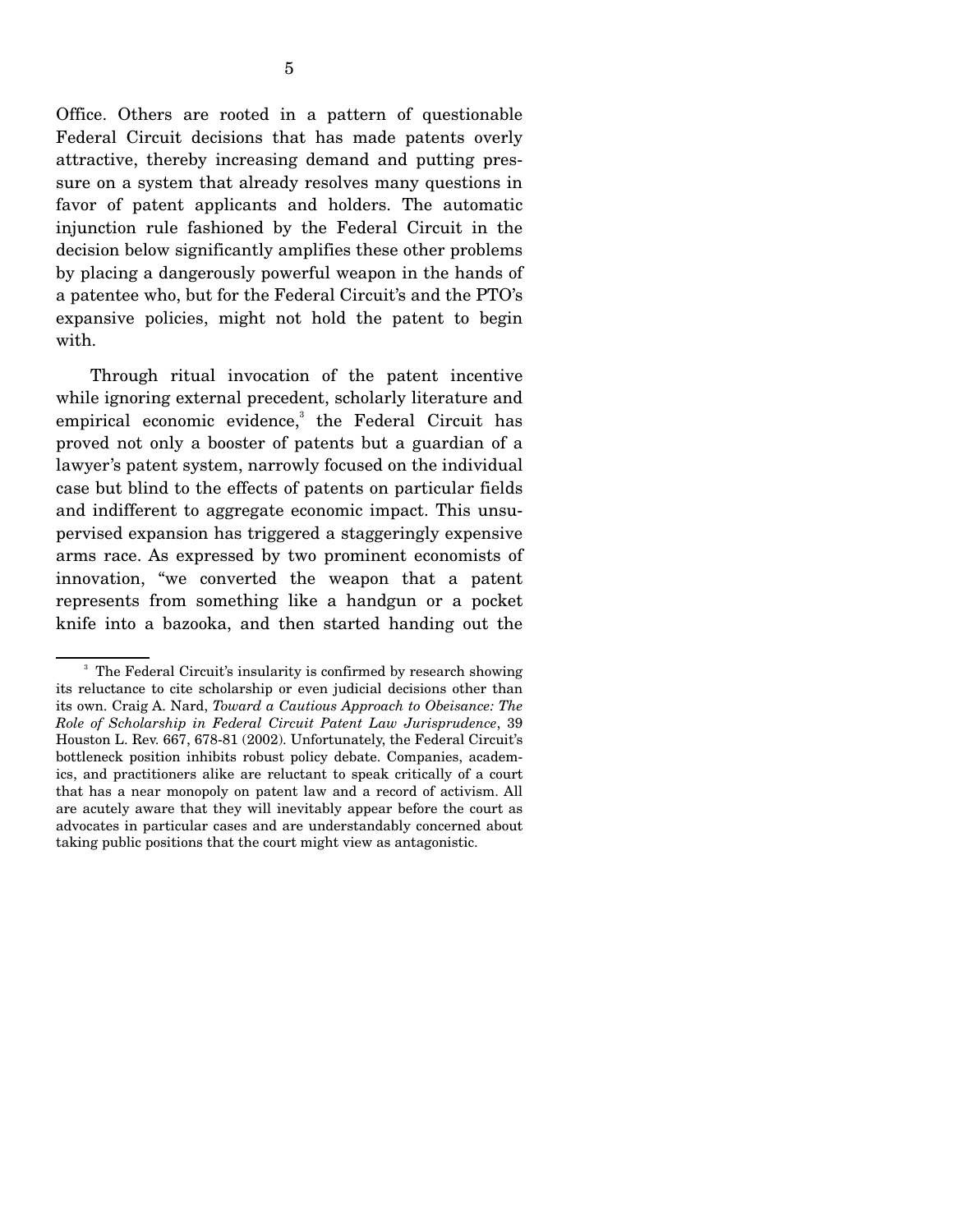Office. Others are rooted in a pattern of questionable Federal Circuit decisions that has made patents overly attractive, thereby increasing demand and putting pressure on a system that already resolves many questions in favor of patent applicants and holders. The automatic injunction rule fashioned by the Federal Circuit in the decision below significantly amplifies these other problems by placing a dangerously powerful weapon in the hands of a patentee who, but for the Federal Circuit's and the PTO's expansive policies, might not hold the patent to begin with.

 Through ritual invocation of the patent incentive while ignoring external precedent, scholarly literature and empirical economic evidence,<sup>3</sup> the Federal Circuit has proved not only a booster of patents but a guardian of a lawyer's patent system, narrowly focused on the individual case but blind to the effects of patents on particular fields and indifferent to aggregate economic impact. This unsupervised expansion has triggered a staggeringly expensive arms race. As expressed by two prominent economists of innovation, "we converted the weapon that a patent represents from something like a handgun or a pocket knife into a bazooka, and then started handing out the

<sup>&</sup>lt;sup>3</sup> The Federal Circuit's insularity is confirmed by research showing its reluctance to cite scholarship or even judicial decisions other than its own. Craig A. Nard, *Toward a Cautious Approach to Obeisance: The Role of Scholarship in Federal Circuit Patent Law Jurisprudence*, 39 Houston L. Rev. 667, 678-81 (2002). Unfortunately, the Federal Circuit's bottleneck position inhibits robust policy debate. Companies, academics, and practitioners alike are reluctant to speak critically of a court that has a near monopoly on patent law and a record of activism. All are acutely aware that they will inevitably appear before the court as advocates in particular cases and are understandably concerned about taking public positions that the court might view as antagonistic.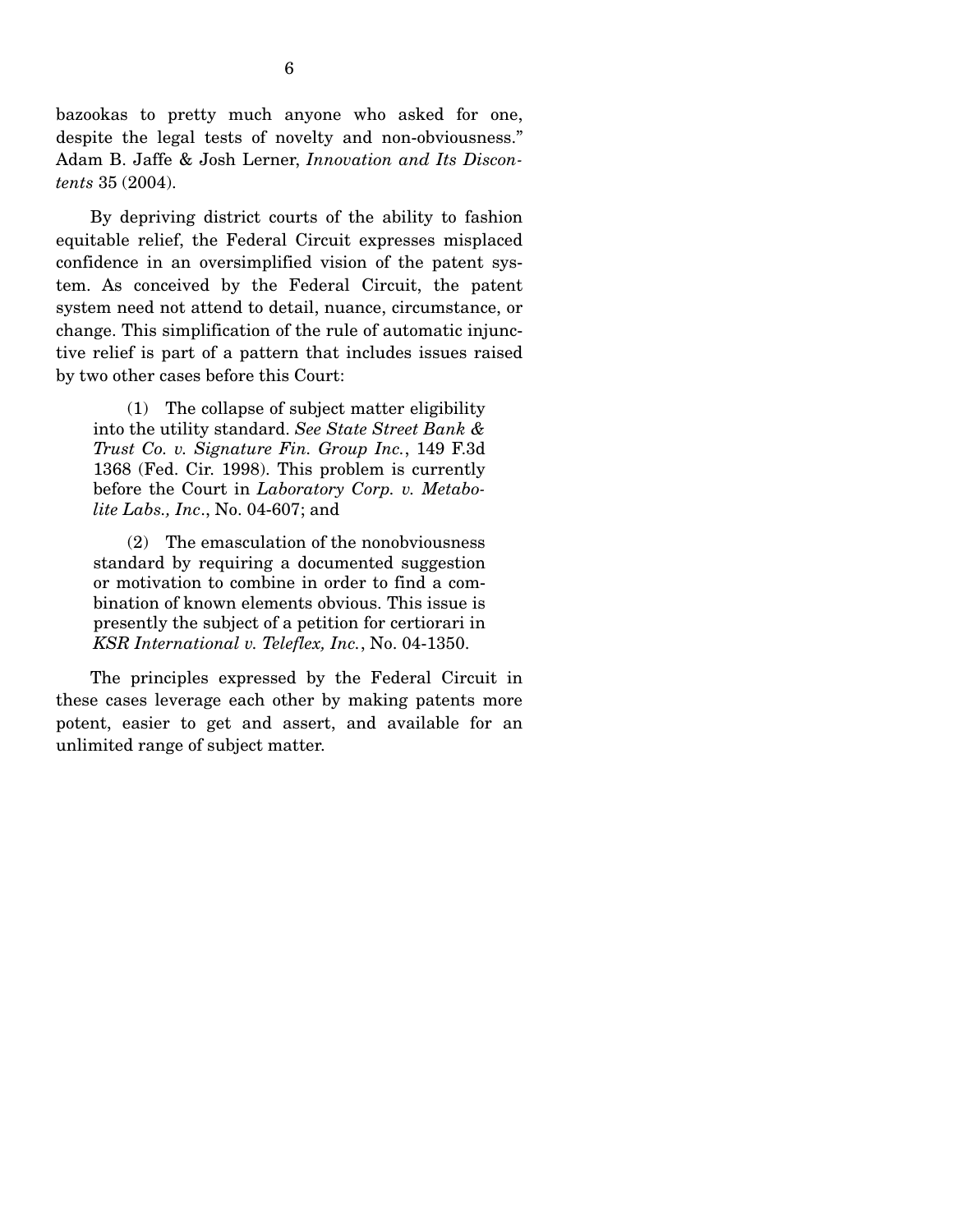bazookas to pretty much anyone who asked for one, despite the legal tests of novelty and non-obviousness." Adam B. Jaffe & Josh Lerner, *Innovation and Its Discontents* 35 (2004).

 By depriving district courts of the ability to fashion equitable relief, the Federal Circuit expresses misplaced confidence in an oversimplified vision of the patent system. As conceived by the Federal Circuit, the patent system need not attend to detail, nuance, circumstance, or change. This simplification of the rule of automatic injunctive relief is part of a pattern that includes issues raised by two other cases before this Court:

 (1) The collapse of subject matter eligibility into the utility standard. *See State Street Bank & Trust Co. v. Signature Fin. Group Inc.*, 149 F.3d 1368 (Fed. Cir. 1998). This problem is currently before the Court in *Laboratory Corp. v. Metabolite Labs., Inc*., No. 04-607; and

 (2) The emasculation of the nonobviousness standard by requiring a documented suggestion or motivation to combine in order to find a combination of known elements obvious. This issue is presently the subject of a petition for certiorari in *KSR International v. Teleflex, Inc.*, No. 04-1350.

 The principles expressed by the Federal Circuit in these cases leverage each other by making patents more potent, easier to get and assert, and available for an unlimited range of subject matter.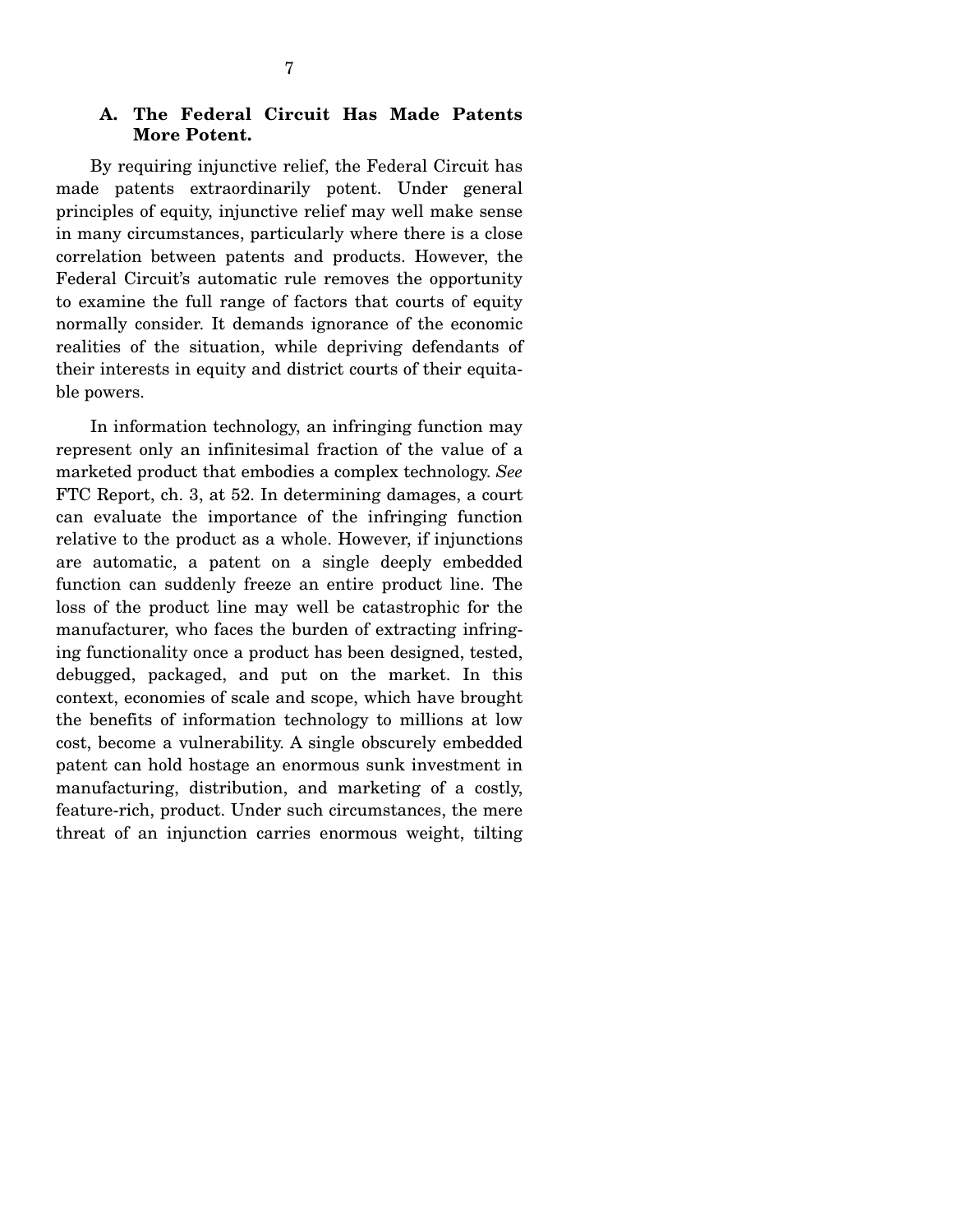# **A. The Federal Circuit Has Made Patents More Potent.**

 By requiring injunctive relief, the Federal Circuit has made patents extraordinarily potent. Under general principles of equity, injunctive relief may well make sense in many circumstances, particularly where there is a close correlation between patents and products. However, the Federal Circuit's automatic rule removes the opportunity to examine the full range of factors that courts of equity normally consider. It demands ignorance of the economic realities of the situation, while depriving defendants of their interests in equity and district courts of their equitable powers.

 In information technology, an infringing function may represent only an infinitesimal fraction of the value of a marketed product that embodies a complex technology. *See*  FTC Report, ch. 3, at 52. In determining damages, a court can evaluate the importance of the infringing function relative to the product as a whole. However, if injunctions are automatic, a patent on a single deeply embedded function can suddenly freeze an entire product line. The loss of the product line may well be catastrophic for the manufacturer, who faces the burden of extracting infringing functionality once a product has been designed, tested, debugged, packaged, and put on the market. In this context, economies of scale and scope, which have brought the benefits of information technology to millions at low cost, become a vulnerability. A single obscurely embedded patent can hold hostage an enormous sunk investment in manufacturing, distribution, and marketing of a costly, feature-rich, product. Under such circumstances, the mere threat of an injunction carries enormous weight, tilting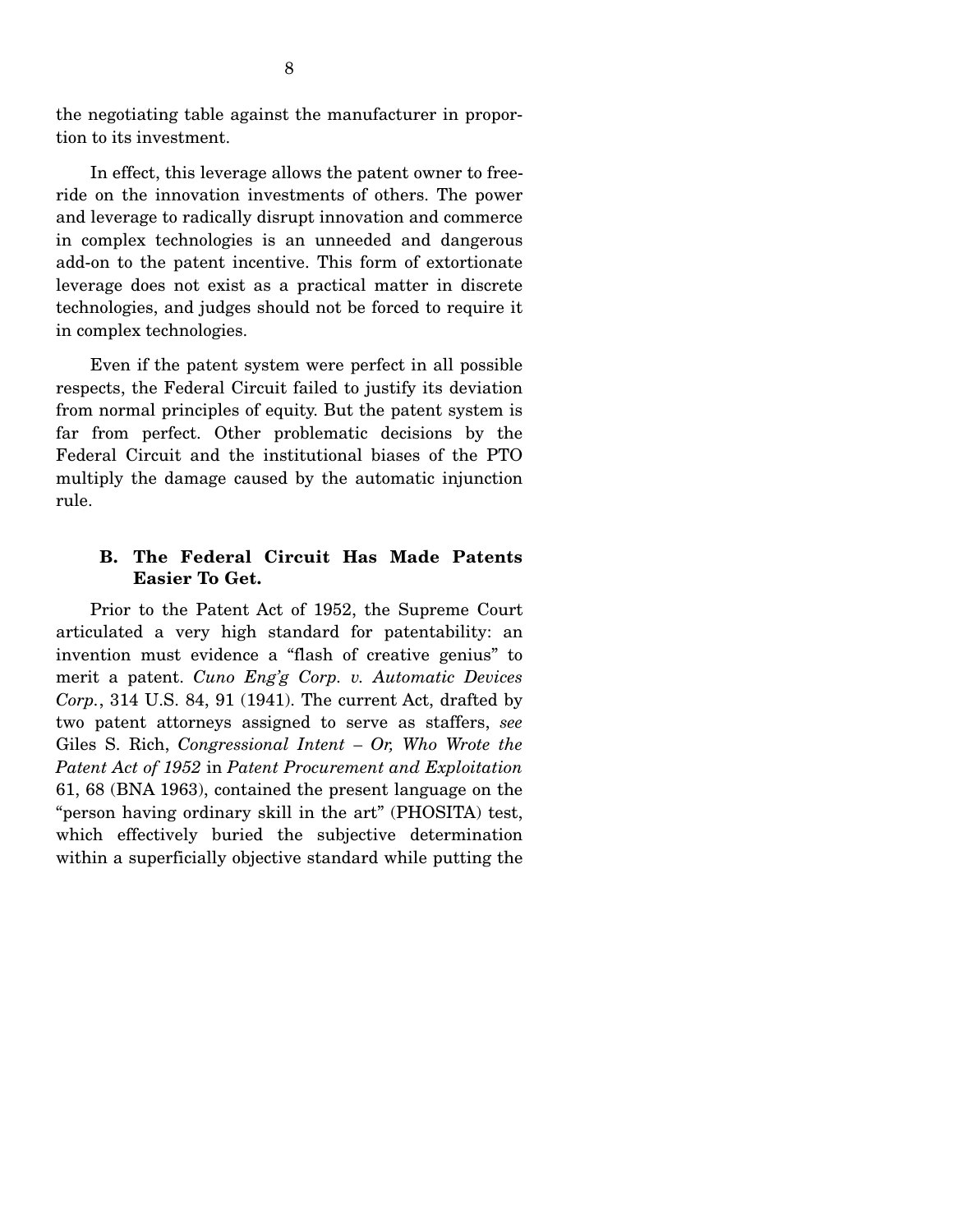the negotiating table against the manufacturer in proportion to its investment.

 In effect, this leverage allows the patent owner to freeride on the innovation investments of others. The power and leverage to radically disrupt innovation and commerce in complex technologies is an unneeded and dangerous add-on to the patent incentive. This form of extortionate leverage does not exist as a practical matter in discrete technologies, and judges should not be forced to require it in complex technologies.

 Even if the patent system were perfect in all possible respects, the Federal Circuit failed to justify its deviation from normal principles of equity. But the patent system is far from perfect. Other problematic decisions by the Federal Circuit and the institutional biases of the PTO multiply the damage caused by the automatic injunction rule.

# **B. The Federal Circuit Has Made Patents Easier To Get.**

 Prior to the Patent Act of 1952, the Supreme Court articulated a very high standard for patentability: an invention must evidence a "flash of creative genius" to merit a patent. *Cuno Eng'g Corp. v. Automatic Devices Corp.*, 314 U.S. 84, 91 (1941). The current Act, drafted by two patent attorneys assigned to serve as staffers, *see*  Giles S. Rich, *Congressional Intent – Or, Who Wrote the Patent Act of 1952* in *Patent Procurement and Exploitation* 61, 68 (BNA 1963), contained the present language on the "person having ordinary skill in the art" (PHOSITA) test, which effectively buried the subjective determination within a superficially objective standard while putting the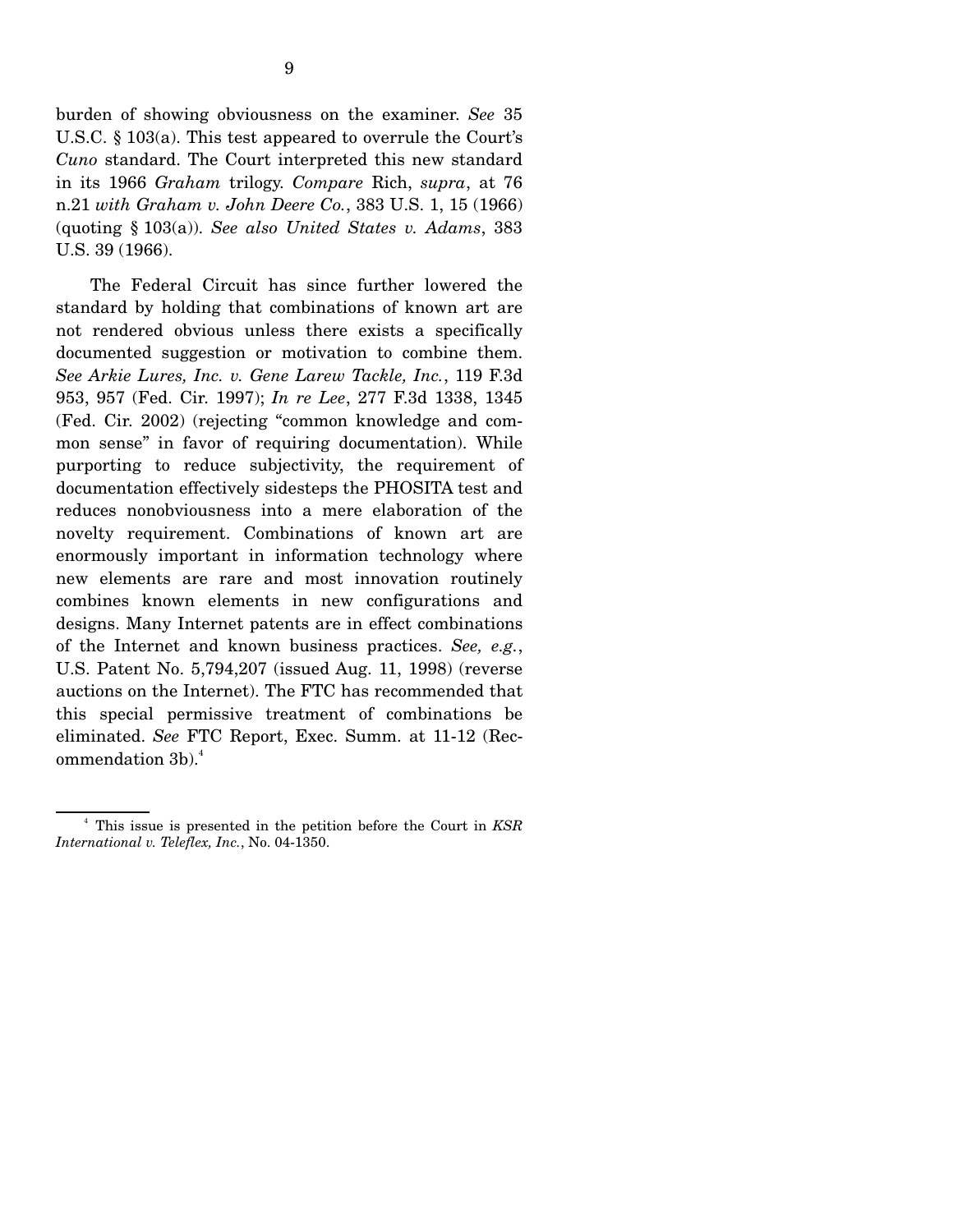burden of showing obviousness on the examiner. *See* 35 U.S.C. § 103(a). This test appeared to overrule the Court's *Cuno* standard. The Court interpreted this new standard in its 1966 *Graham* trilogy. *Compare* Rich, *supra*, at 76 n.21 *with Graham v. John Deere Co.*, 383 U.S. 1, 15 (1966) (quoting § 103(a)). *See also United States v. Adams*, 383 U.S. 39 (1966).

 The Federal Circuit has since further lowered the standard by holding that combinations of known art are not rendered obvious unless there exists a specifically documented suggestion or motivation to combine them. *See Arkie Lures, Inc. v. Gene Larew Tackle, Inc.*, 119 F.3d 953, 957 (Fed. Cir. 1997); *In re Lee*, 277 F.3d 1338, 1345 (Fed. Cir. 2002) (rejecting "common knowledge and common sense" in favor of requiring documentation). While purporting to reduce subjectivity, the requirement of documentation effectively sidesteps the PHOSITA test and reduces nonobviousness into a mere elaboration of the novelty requirement. Combinations of known art are enormously important in information technology where new elements are rare and most innovation routinely combines known elements in new configurations and designs. Many Internet patents are in effect combinations of the Internet and known business practices. *See, e.g.*, U.S. Patent No. 5,794,207 (issued Aug. 11, 1998) (reverse auctions on the Internet). The FTC has recommended that this special permissive treatment of combinations be eliminated. *See* FTC Report, Exec. Summ. at 11-12 (Recommendation  $3b$ <sup>4</sup>.

<sup>4</sup> This issue is presented in the petition before the Court in *KSR International v. Teleflex, Inc.*, No. 04-1350.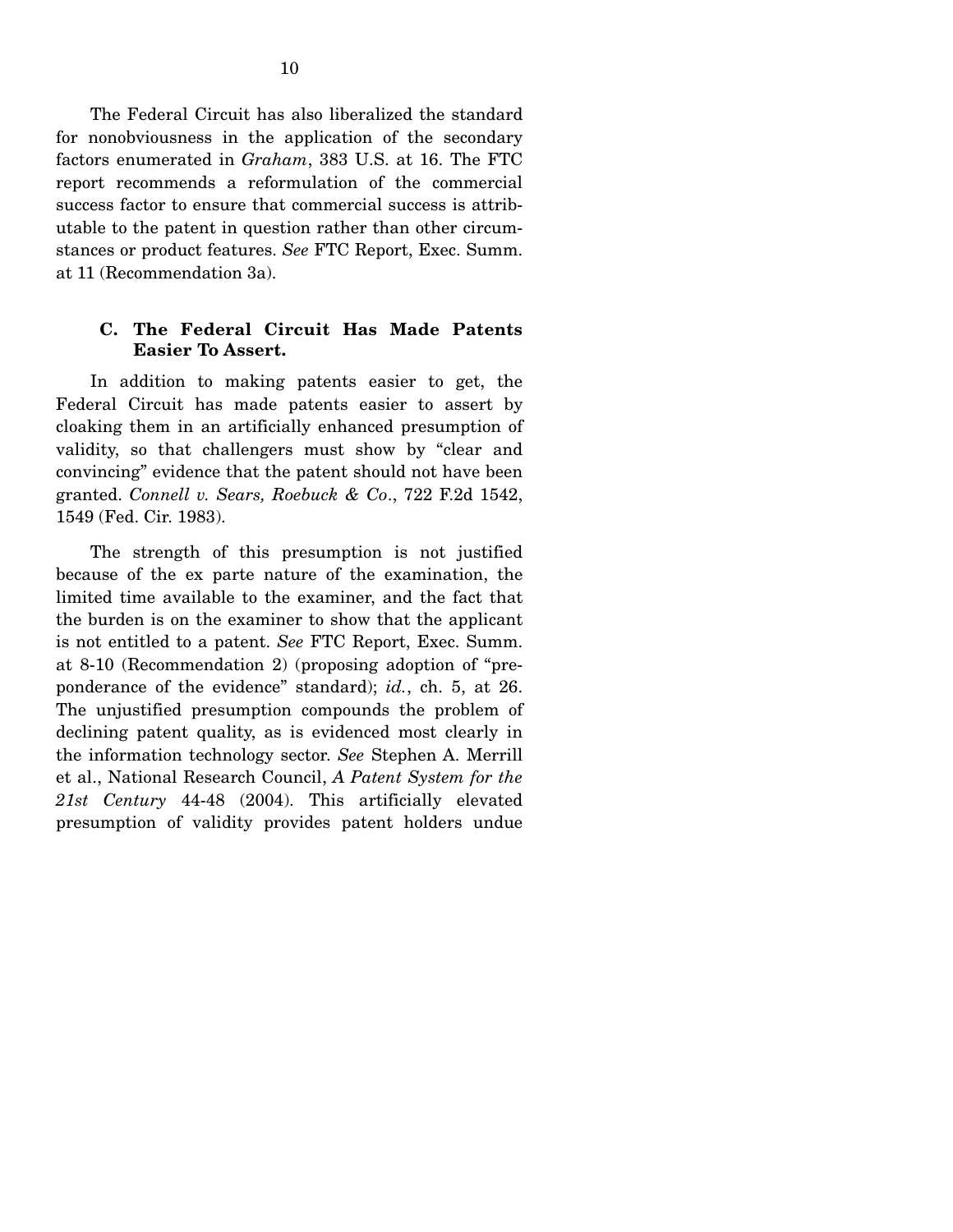The Federal Circuit has also liberalized the standard for nonobviousness in the application of the secondary factors enumerated in *Graham*, 383 U.S. at 16. The FTC report recommends a reformulation of the commercial success factor to ensure that commercial success is attributable to the patent in question rather than other circumstances or product features. *See* FTC Report, Exec. Summ. at 11 (Recommendation 3a).

# **C. The Federal Circuit Has Made Patents Easier To Assert.**

 In addition to making patents easier to get, the Federal Circuit has made patents easier to assert by cloaking them in an artificially enhanced presumption of validity, so that challengers must show by "clear and convincing" evidence that the patent should not have been granted. *Connell v. Sears, Roebuck & Co*., 722 F.2d 1542, 1549 (Fed. Cir. 1983).

 The strength of this presumption is not justified because of the ex parte nature of the examination, the limited time available to the examiner, and the fact that the burden is on the examiner to show that the applicant is not entitled to a patent. *See* FTC Report, Exec. Summ. at 8-10 (Recommendation 2) (proposing adoption of "preponderance of the evidence" standard); *id.*, ch. 5, at 26. The unjustified presumption compounds the problem of declining patent quality, as is evidenced most clearly in the information technology sector. *See* Stephen A. Merrill et al., National Research Council, *A Patent System for the 21st Century* 44-48 (2004). This artificially elevated presumption of validity provides patent holders undue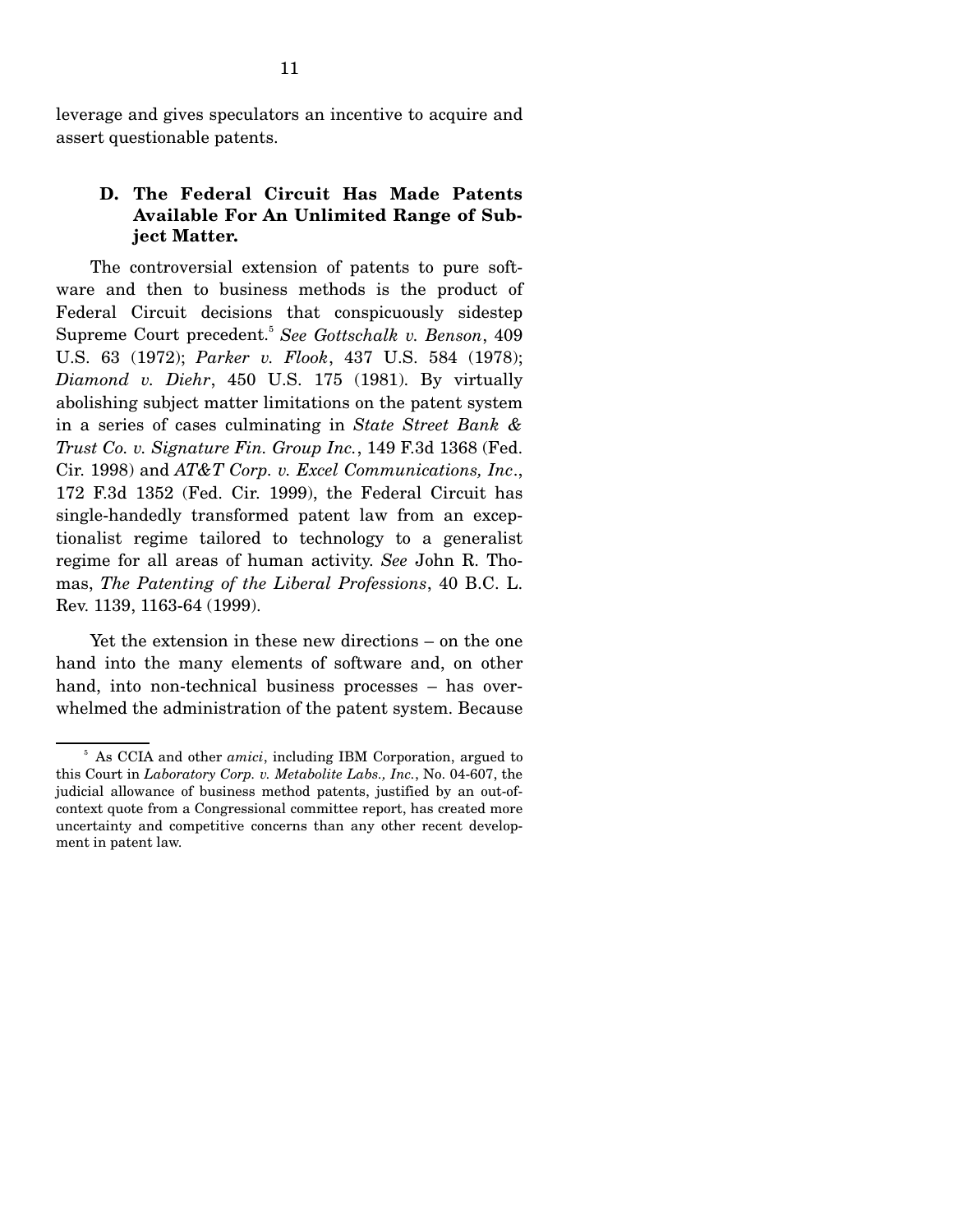leverage and gives speculators an incentive to acquire and assert questionable patents.

# **D. The Federal Circuit Has Made Patents Available For An Unlimited Range of Subject Matter.**

 The controversial extension of patents to pure software and then to business methods is the product of Federal Circuit decisions that conspicuously sidestep Supreme Court precedent.<sup>5</sup> *See Gottschalk v. Benson*, 409 U.S. 63 (1972); *Parker v. Flook*, 437 U.S. 584 (1978); *Diamond v. Diehr*, 450 U.S. 175 (1981). By virtually abolishing subject matter limitations on the patent system in a series of cases culminating in *State Street Bank & Trust Co. v. Signature Fin. Group Inc.*, 149 F.3d 1368 (Fed. Cir. 1998) and *AT&T Corp. v. Excel Communications, Inc*., 172 F.3d 1352 (Fed. Cir. 1999), the Federal Circuit has single-handedly transformed patent law from an exceptionalist regime tailored to technology to a generalist regime for all areas of human activity. *See* John R. Thomas, *The Patenting of the Liberal Professions*, 40 B.C. L. Rev. 1139, 1163-64 (1999).

 Yet the extension in these new directions – on the one hand into the many elements of software and, on other hand, into non-technical business processes – has overwhelmed the administration of the patent system. Because

<sup>5</sup> As CCIA and other *amici*, including IBM Corporation, argued to this Court in *Laboratory Corp. v. Metabolite Labs., Inc.*, No. 04-607, the judicial allowance of business method patents, justified by an out-ofcontext quote from a Congressional committee report, has created more uncertainty and competitive concerns than any other recent development in patent law.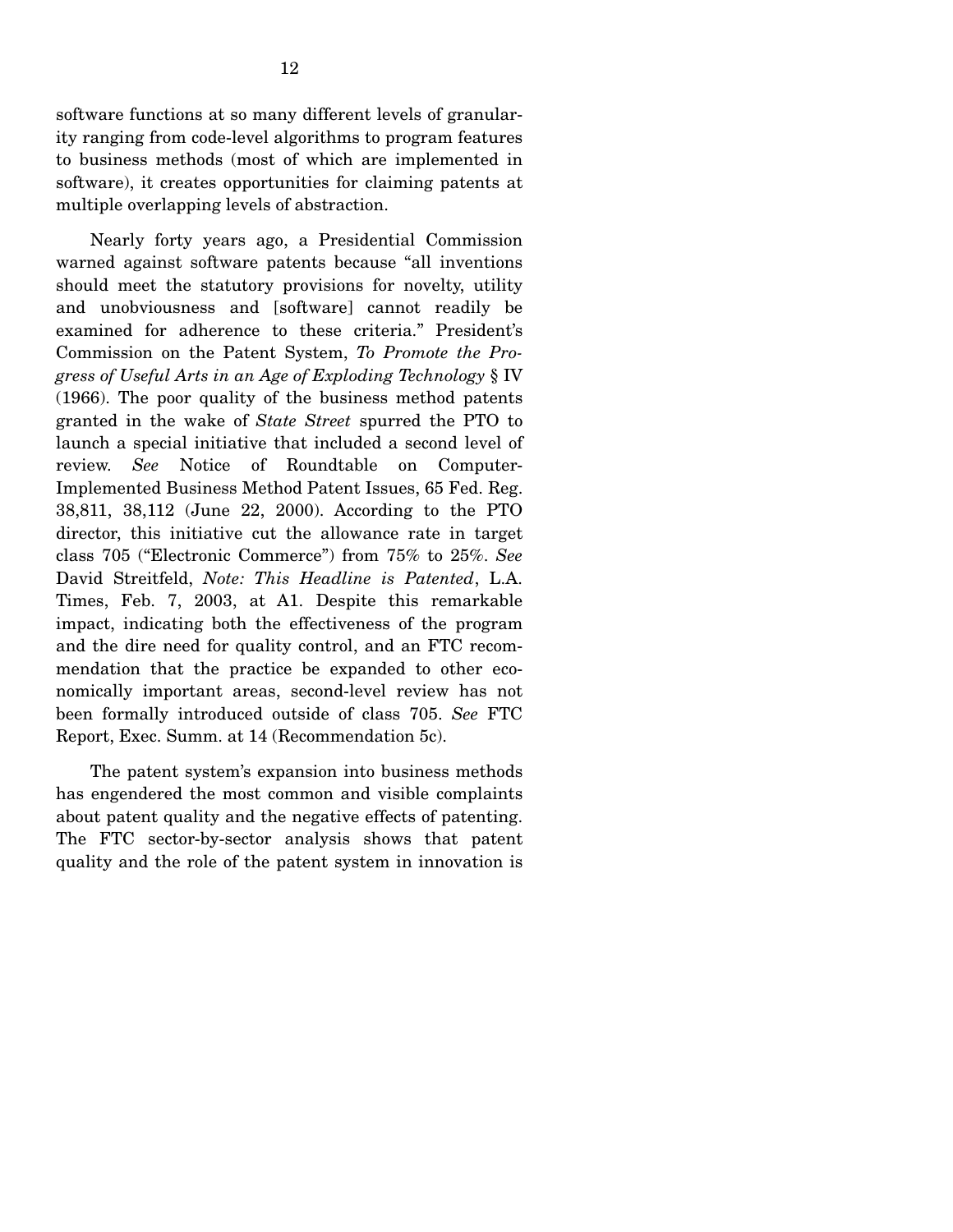software functions at so many different levels of granularity ranging from code-level algorithms to program features to business methods (most of which are implemented in software), it creates opportunities for claiming patents at multiple overlapping levels of abstraction.

 Nearly forty years ago, a Presidential Commission warned against software patents because "all inventions should meet the statutory provisions for novelty, utility and unobviousness and [software] cannot readily be examined for adherence to these criteria." President's Commission on the Patent System, *To Promote the Progress of Useful Arts in an Age of Exploding Technology* § IV (1966). The poor quality of the business method patents granted in the wake of *State Street* spurred the PTO to launch a special initiative that included a second level of review. *See* Notice of Roundtable on Computer-Implemented Business Method Patent Issues, 65 Fed. Reg. 38,811, 38,112 (June 22, 2000). According to the PTO director, this initiative cut the allowance rate in target class 705 ("Electronic Commerce") from 75% to 25%. *See*  David Streitfeld, *Note: This Headline is Patented*, L.A. Times, Feb. 7, 2003, at A1. Despite this remarkable impact, indicating both the effectiveness of the program and the dire need for quality control, and an FTC recommendation that the practice be expanded to other economically important areas, second-level review has not been formally introduced outside of class 705. *See* FTC Report, Exec. Summ. at 14 (Recommendation 5c).

 The patent system's expansion into business methods has engendered the most common and visible complaints about patent quality and the negative effects of patenting. The FTC sector-by-sector analysis shows that patent quality and the role of the patent system in innovation is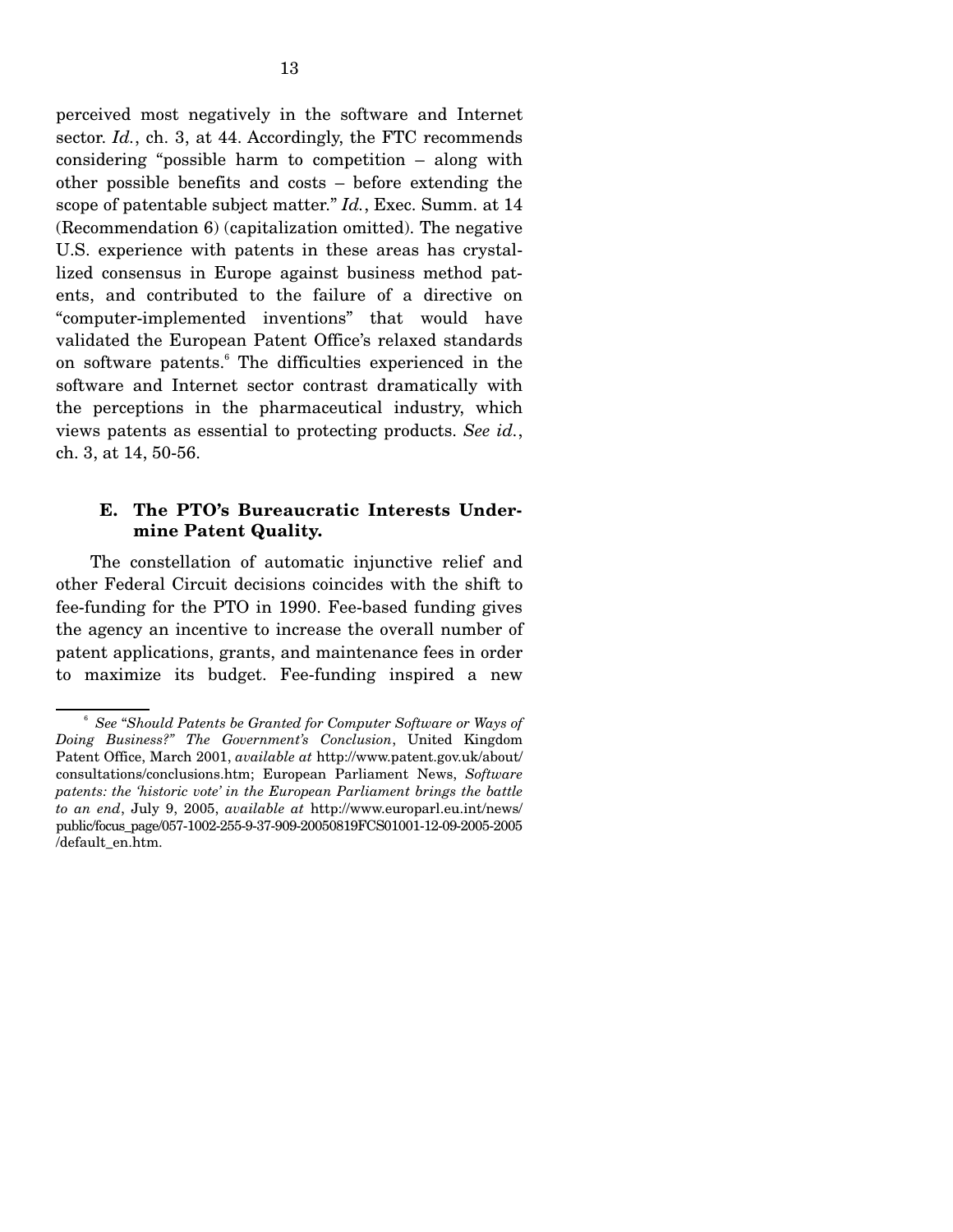perceived most negatively in the software and Internet sector. *Id.*, ch. 3, at 44. Accordingly, the FTC recommends considering "possible harm to competition – along with other possible benefits and costs – before extending the scope of patentable subject matter." *Id.*, Exec. Summ. at 14 (Recommendation 6) (capitalization omitted). The negative U.S. experience with patents in these areas has crystallized consensus in Europe against business method patents, and contributed to the failure of a directive on "computer-implemented inventions" that would have validated the European Patent Office's relaxed standards on software patents.<sup>6</sup> The difficulties experienced in the software and Internet sector contrast dramatically with the perceptions in the pharmaceutical industry, which views patents as essential to protecting products. *See id.*, ch. 3, at 14, 50-56.

### **E. The PTO's Bureaucratic Interests Undermine Patent Quality.**

 The constellation of automatic injunctive relief and other Federal Circuit decisions coincides with the shift to fee-funding for the PTO in 1990. Fee-based funding gives the agency an incentive to increase the overall number of patent applications, grants, and maintenance fees in order to maximize its budget. Fee-funding inspired a new

<sup>6</sup> *See* "*Should Patents be Granted for Computer Software or Ways of Doing Business?" The Government's Conclusion*, United Kingdom Patent Office, March 2001, *available at* http://www.patent.gov.uk/about/ consultations/conclusions.htm; European Parliament News, *Software patents: the 'historic vote' in the European Parliament brings the battle to an end*, July 9, 2005, *available at* http://www.europarl.eu.int/news/ public/focus\_page/057-1002-255-9-37-909-20050819FCS01001-12-09-2005-2005 /default\_en.htm.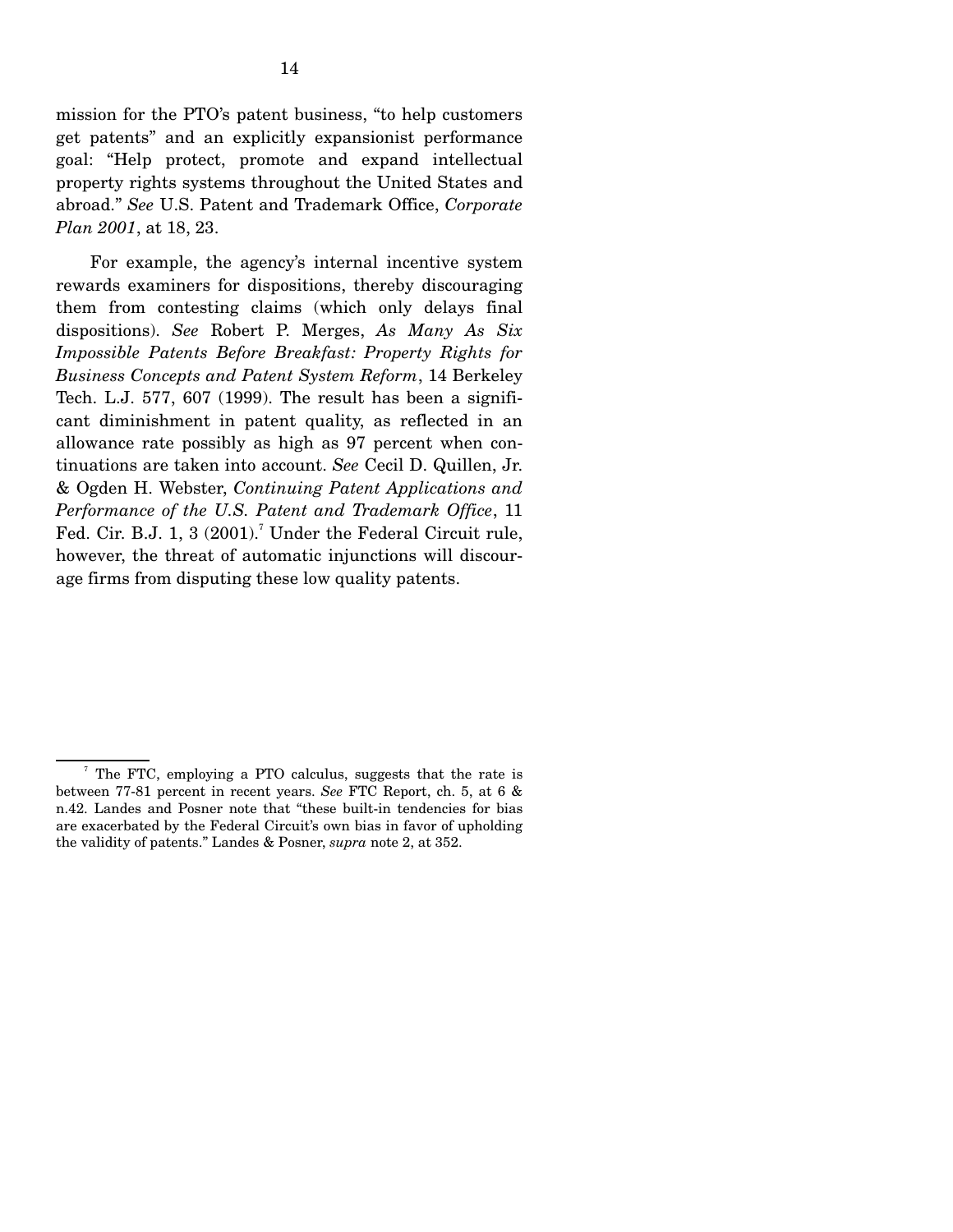mission for the PTO's patent business, "to help customers get patents" and an explicitly expansionist performance goal: "Help protect, promote and expand intellectual property rights systems throughout the United States and abroad." *See* U.S. Patent and Trademark Office, *Corporate Plan 2001*, at 18, 23.

 For example, the agency's internal incentive system rewards examiners for dispositions, thereby discouraging them from contesting claims (which only delays final dispositions). *See* Robert P. Merges, *As Many As Six Impossible Patents Before Breakfast: Property Rights for Business Concepts and Patent System Reform*, 14 Berkeley Tech. L.J. 577, 607 (1999). The result has been a significant diminishment in patent quality, as reflected in an allowance rate possibly as high as 97 percent when continuations are taken into account. *See* Cecil D. Quillen, Jr. & Ogden H. Webster, *Continuing Patent Applications and Performance of the U.S. Patent and Trademark Office*, 11 Fed. Cir. B.J. 1, 3  $(2001)$ .<sup>7</sup> Under the Federal Circuit rule, however, the threat of automatic injunctions will discourage firms from disputing these low quality patents.

<sup>&</sup>lt;sup>7</sup> The FTC, employing a PTO calculus, suggests that the rate is between 77-81 percent in recent years. *See* FTC Report, ch. 5, at 6 & n.42. Landes and Posner note that "these built-in tendencies for bias are exacerbated by the Federal Circuit's own bias in favor of upholding the validity of patents." Landes & Posner, *supra* note 2, at 352.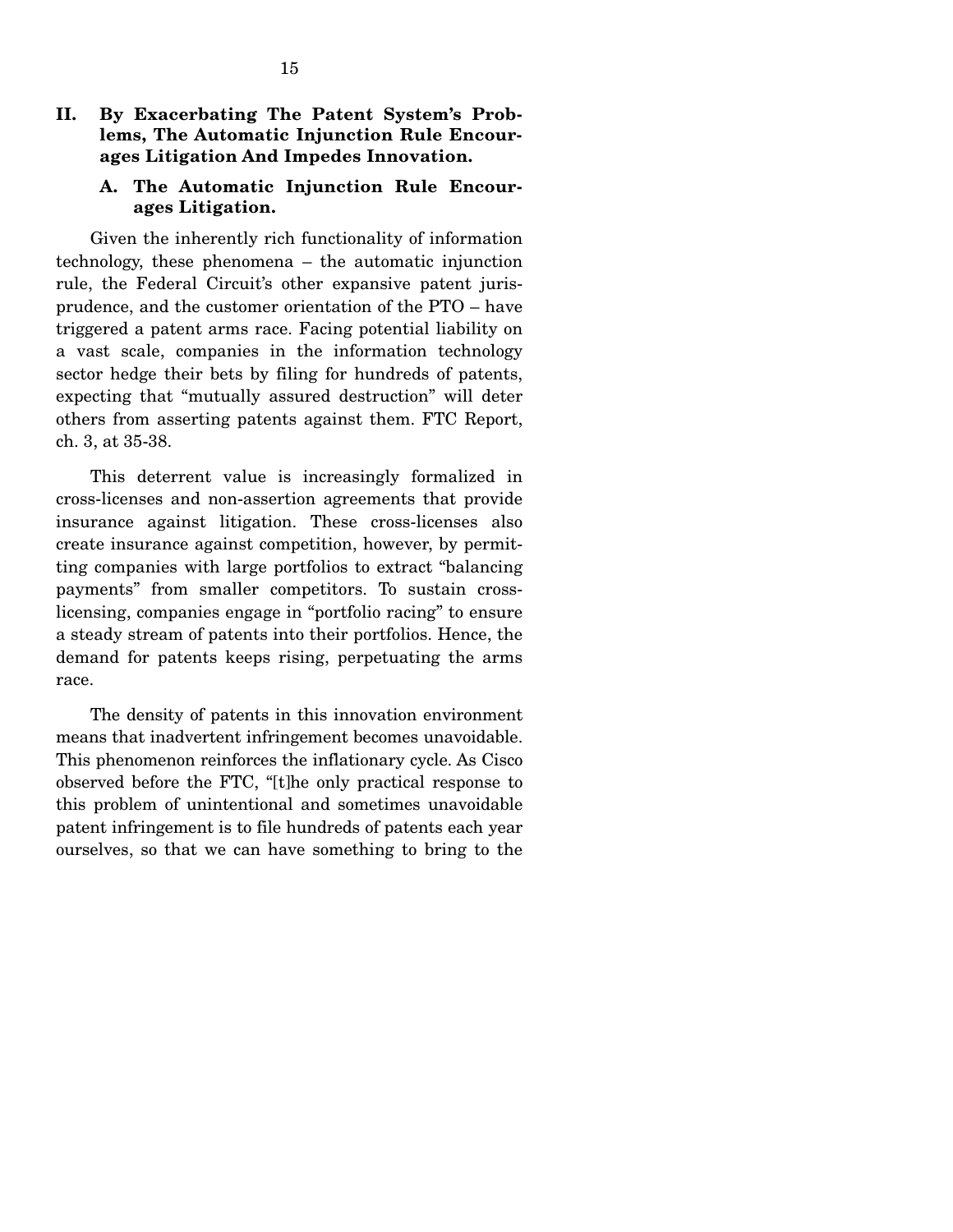# **II. By Exacerbating The Patent System's Problems, The Automatic Injunction Rule Encourages Litigation And Impedes Innovation.**

# **A. The Automatic Injunction Rule Encourages Litigation.**

 Given the inherently rich functionality of information technology, these phenomena – the automatic injunction rule, the Federal Circuit's other expansive patent jurisprudence, and the customer orientation of the PTO – have triggered a patent arms race. Facing potential liability on a vast scale, companies in the information technology sector hedge their bets by filing for hundreds of patents, expecting that "mutually assured destruction" will deter others from asserting patents against them. FTC Report, ch. 3, at 35-38.

 This deterrent value is increasingly formalized in cross-licenses and non-assertion agreements that provide insurance against litigation. These cross-licenses also create insurance against competition, however, by permitting companies with large portfolios to extract "balancing payments" from smaller competitors. To sustain crosslicensing, companies engage in "portfolio racing" to ensure a steady stream of patents into their portfolios. Hence, the demand for patents keeps rising, perpetuating the arms race.

 The density of patents in this innovation environment means that inadvertent infringement becomes unavoidable. This phenomenon reinforces the inflationary cycle. As Cisco observed before the FTC, "[t]he only practical response to this problem of unintentional and sometimes unavoidable patent infringement is to file hundreds of patents each year ourselves, so that we can have something to bring to the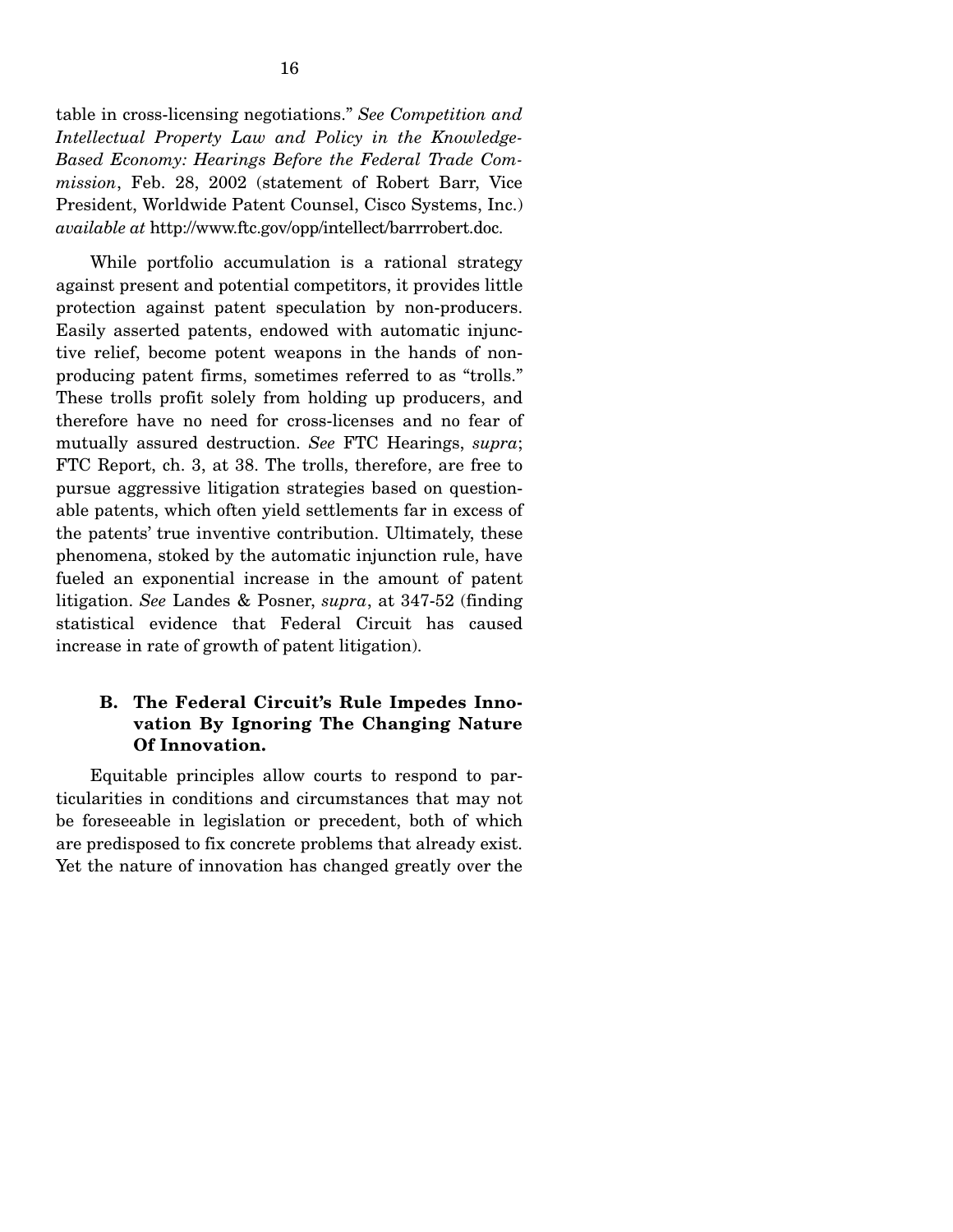table in cross-licensing negotiations." *See Competition and Intellectual Property Law and Policy in the Knowledge-Based Economy: Hearings Before the Federal Trade Commission*, Feb. 28, 2002 (statement of Robert Barr, Vice President, Worldwide Patent Counsel, Cisco Systems, Inc.) *available at* http://www.ftc.gov/opp/intellect/barrrobert.doc.

 While portfolio accumulation is a rational strategy against present and potential competitors, it provides little protection against patent speculation by non-producers. Easily asserted patents, endowed with automatic injunctive relief, become potent weapons in the hands of nonproducing patent firms, sometimes referred to as "trolls." These trolls profit solely from holding up producers, and therefore have no need for cross-licenses and no fear of mutually assured destruction. *See* FTC Hearings, *supra*; FTC Report, ch. 3, at 38. The trolls, therefore, are free to pursue aggressive litigation strategies based on questionable patents, which often yield settlements far in excess of the patents' true inventive contribution. Ultimately, these phenomena, stoked by the automatic injunction rule, have fueled an exponential increase in the amount of patent litigation. *See* Landes & Posner, *supra*, at 347-52 (finding statistical evidence that Federal Circuit has caused increase in rate of growth of patent litigation).

# **B. The Federal Circuit's Rule Impedes Innovation By Ignoring The Changing Nature Of Innovation.**

 Equitable principles allow courts to respond to particularities in conditions and circumstances that may not be foreseeable in legislation or precedent, both of which are predisposed to fix concrete problems that already exist. Yet the nature of innovation has changed greatly over the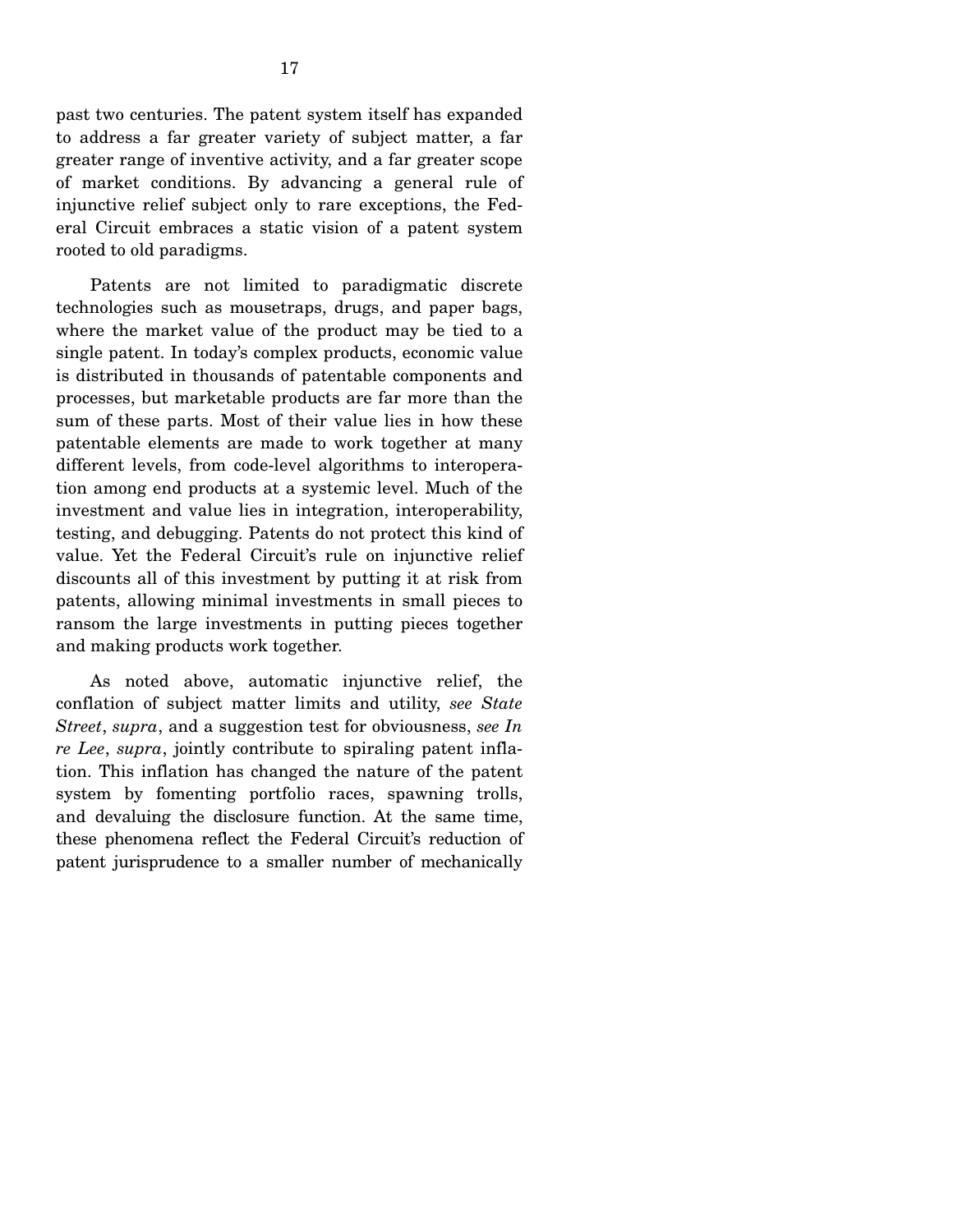17

greater range of inventive activity, and a far greater scope of market conditions. By advancing a general rule of injunctive relief subject only to rare exceptions, the Federal Circuit embraces a static vision of a patent system rooted to old paradigms.

 Patents are not limited to paradigmatic discrete technologies such as mousetraps, drugs, and paper bags, where the market value of the product may be tied to a single patent. In today's complex products, economic value is distributed in thousands of patentable components and processes, but marketable products are far more than the sum of these parts. Most of their value lies in how these patentable elements are made to work together at many different levels, from code-level algorithms to interoperation among end products at a systemic level. Much of the investment and value lies in integration, interoperability, testing, and debugging. Patents do not protect this kind of value. Yet the Federal Circuit's rule on injunctive relief discounts all of this investment by putting it at risk from patents, allowing minimal investments in small pieces to ransom the large investments in putting pieces together and making products work together.

 As noted above, automatic injunctive relief, the conflation of subject matter limits and utility, *see State Street*, *supra*, and a suggestion test for obviousness, *see In re Lee*, *supra*, jointly contribute to spiraling patent inflation. This inflation has changed the nature of the patent system by fomenting portfolio races, spawning trolls, and devaluing the disclosure function. At the same time, these phenomena reflect the Federal Circuit's reduction of patent jurisprudence to a smaller number of mechanically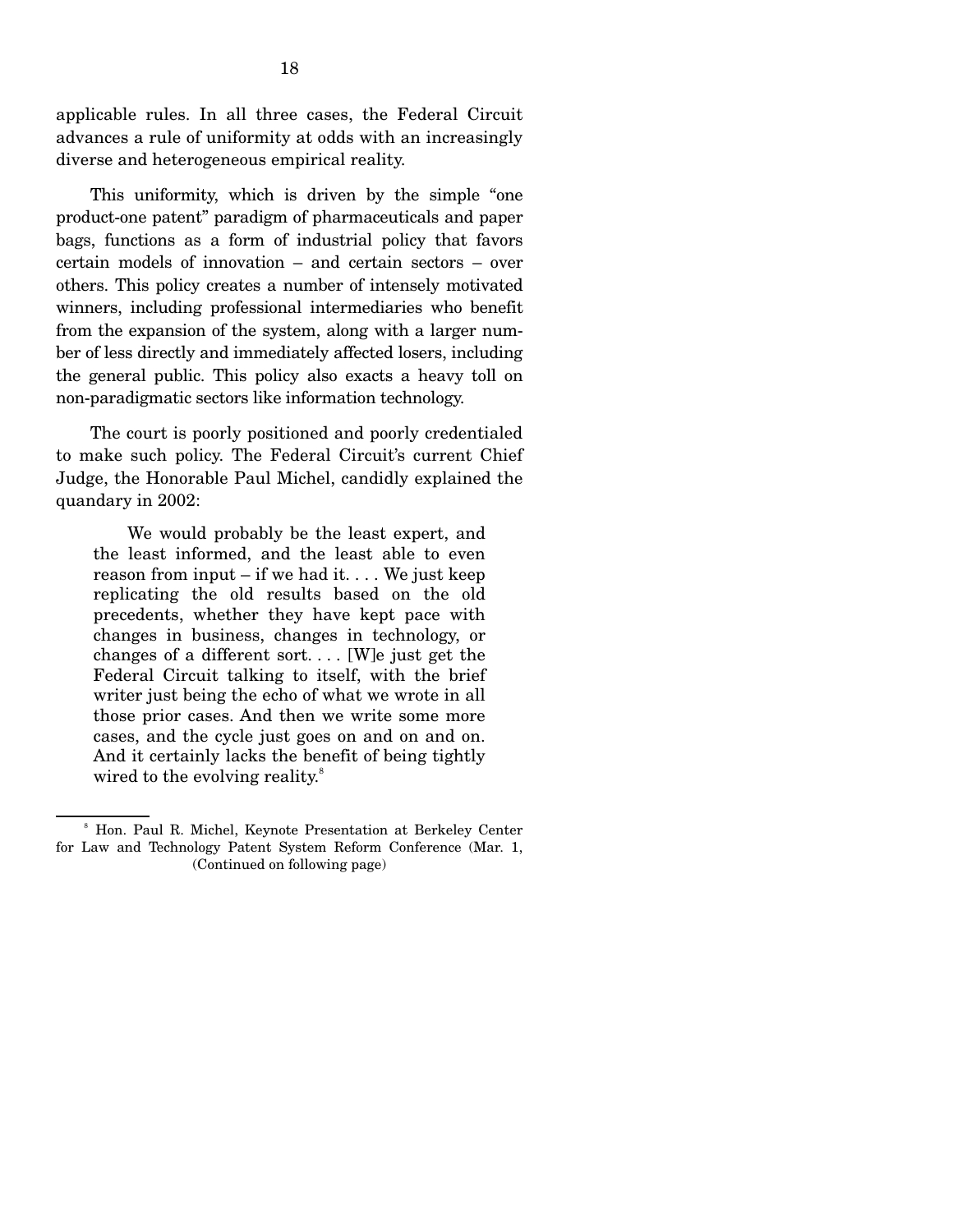applicable rules. In all three cases, the Federal Circuit advances a rule of uniformity at odds with an increasingly diverse and heterogeneous empirical reality.

 This uniformity, which is driven by the simple "one product-one patent" paradigm of pharmaceuticals and paper bags, functions as a form of industrial policy that favors certain models of innovation – and certain sectors – over others. This policy creates a number of intensely motivated winners, including professional intermediaries who benefit from the expansion of the system, along with a larger number of less directly and immediately affected losers, including the general public. This policy also exacts a heavy toll on non-paradigmatic sectors like information technology.

 The court is poorly positioned and poorly credentialed to make such policy. The Federal Circuit's current Chief Judge, the Honorable Paul Michel, candidly explained the quandary in 2002:

 We would probably be the least expert, and the least informed, and the least able to even reason from input – if we had it... We just keep replicating the old results based on the old precedents, whether they have kept pace with changes in business, changes in technology, or changes of a different sort. . . . [W]e just get the Federal Circuit talking to itself, with the brief writer just being the echo of what we wrote in all those prior cases. And then we write some more cases, and the cycle just goes on and on and on. And it certainly lacks the benefit of being tightly wired to the evolving reality.<sup>8</sup>

<sup>8</sup> Hon. Paul R. Michel, Keynote Presentation at Berkeley Center for Law and Technology Patent System Reform Conference (Mar. 1, (Continued on following page)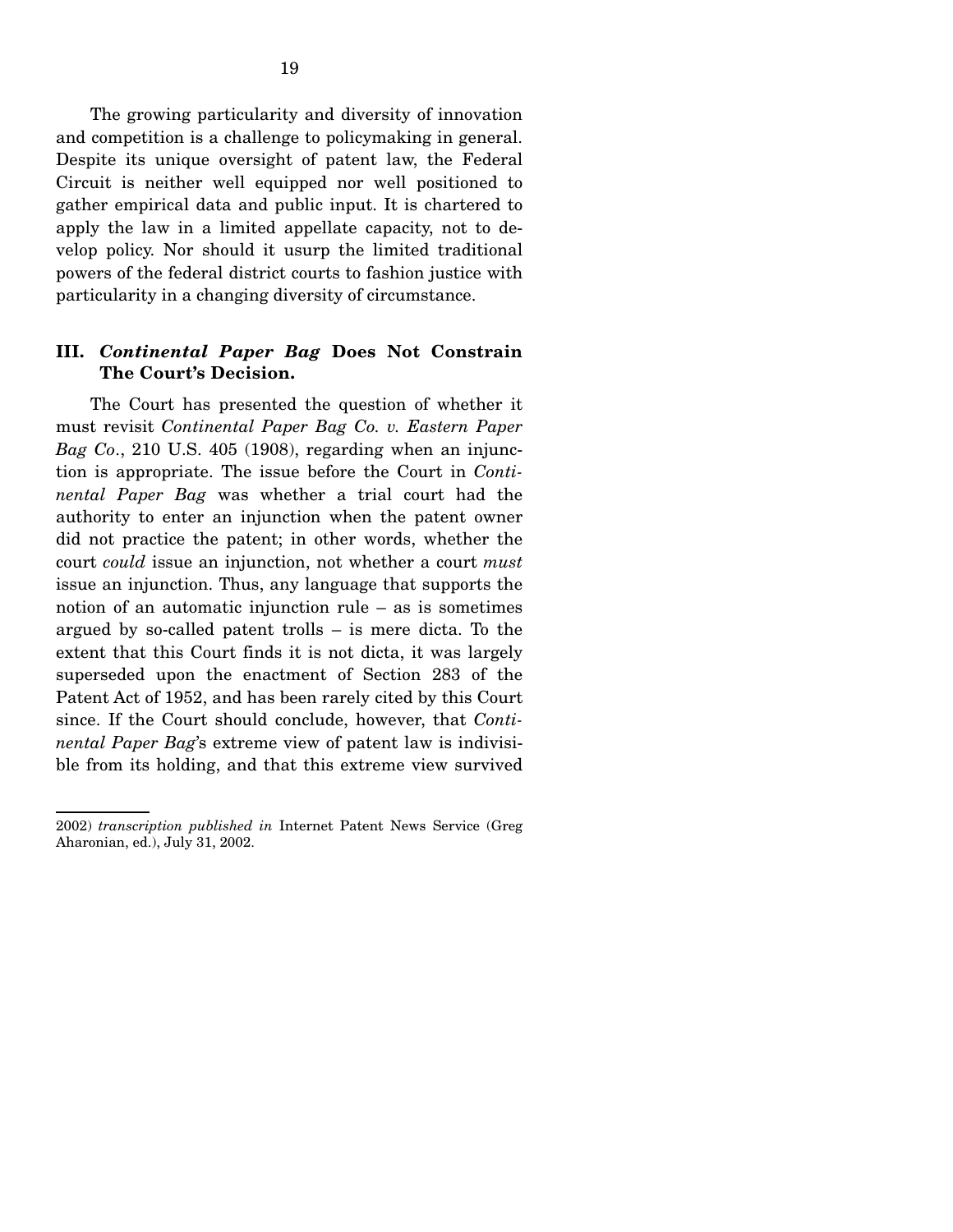The growing particularity and diversity of innovation and competition is a challenge to policymaking in general. Despite its unique oversight of patent law, the Federal Circuit is neither well equipped nor well positioned to gather empirical data and public input. It is chartered to apply the law in a limited appellate capacity, not to develop policy. Nor should it usurp the limited traditional powers of the federal district courts to fashion justice with particularity in a changing diversity of circumstance.

### **III.** *Continental Paper Bag* **Does Not Constrain The Court's Decision.**

 The Court has presented the question of whether it must revisit *Continental Paper Bag Co. v. Eastern Paper Bag Co*., 210 U.S. 405 (1908), regarding when an injunction is appropriate. The issue before the Court in *Continental Paper Bag* was whether a trial court had the authority to enter an injunction when the patent owner did not practice the patent; in other words, whether the court *could* issue an injunction, not whether a court *must* issue an injunction. Thus, any language that supports the notion of an automatic injunction rule – as is sometimes argued by so-called patent trolls – is mere dicta. To the extent that this Court finds it is not dicta, it was largely superseded upon the enactment of Section 283 of the Patent Act of 1952, and has been rarely cited by this Court since. If the Court should conclude, however, that *Continental Paper Bag*'s extreme view of patent law is indivisible from its holding, and that this extreme view survived

<sup>2002)</sup> *transcription published in* Internet Patent News Service (Greg Aharonian, ed.), July 31, 2002.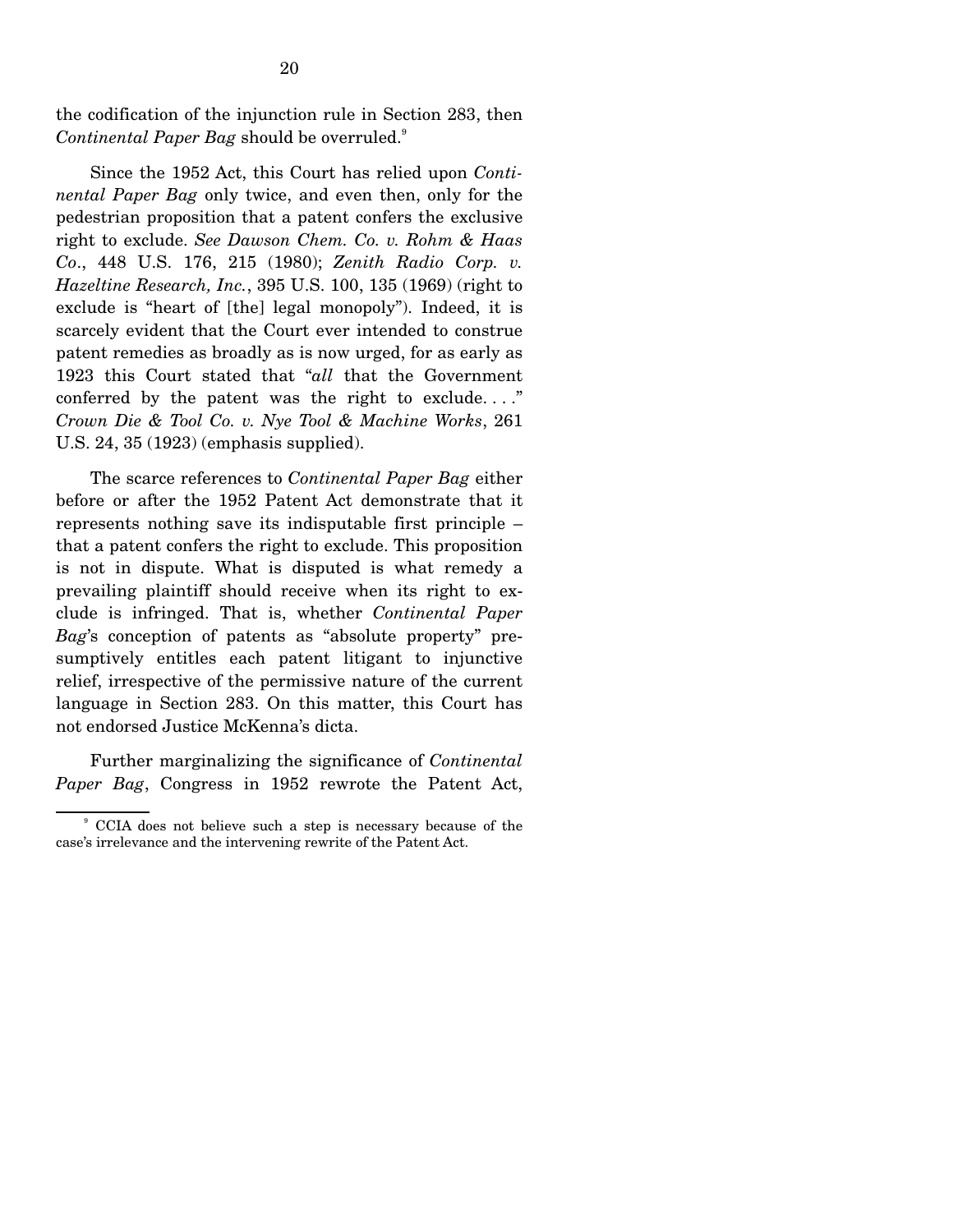the codification of the injunction rule in Section 283, then  $Continental$  *Paper Bag* should be overruled.<sup>9</sup>

 Since the 1952 Act, this Court has relied upon *Continental Paper Bag* only twice, and even then, only for the pedestrian proposition that a patent confers the exclusive right to exclude. *See Dawson Chem. Co. v. Rohm & Haas Co*., 448 U.S. 176, 215 (1980); *Zenith Radio Corp. v. Hazeltine Research, Inc.*, 395 U.S. 100, 135 (1969) (right to exclude is "heart of [the] legal monopoly"). Indeed, it is scarcely evident that the Court ever intended to construe patent remedies as broadly as is now urged, for as early as 1923 this Court stated that "*all* that the Government conferred by the patent was the right to exclude. . . ." *Crown Die & Tool Co. v. Nye Tool & Machine Works*, 261 U.S. 24, 35 (1923) (emphasis supplied).

 The scarce references to *Continental Paper Bag* either before or after the 1952 Patent Act demonstrate that it represents nothing save its indisputable first principle – that a patent confers the right to exclude. This proposition is not in dispute. What is disputed is what remedy a prevailing plaintiff should receive when its right to exclude is infringed. That is, whether *Continental Paper Bag*'s conception of patents as "absolute property" presumptively entitles each patent litigant to injunctive relief, irrespective of the permissive nature of the current language in Section 283. On this matter, this Court has not endorsed Justice McKenna's dicta.

 Further marginalizing the significance of *Continental Paper Bag*, Congress in 1952 rewrote the Patent Act,

<sup>9</sup> CCIA does not believe such a step is necessary because of the case's irrelevance and the intervening rewrite of the Patent Act.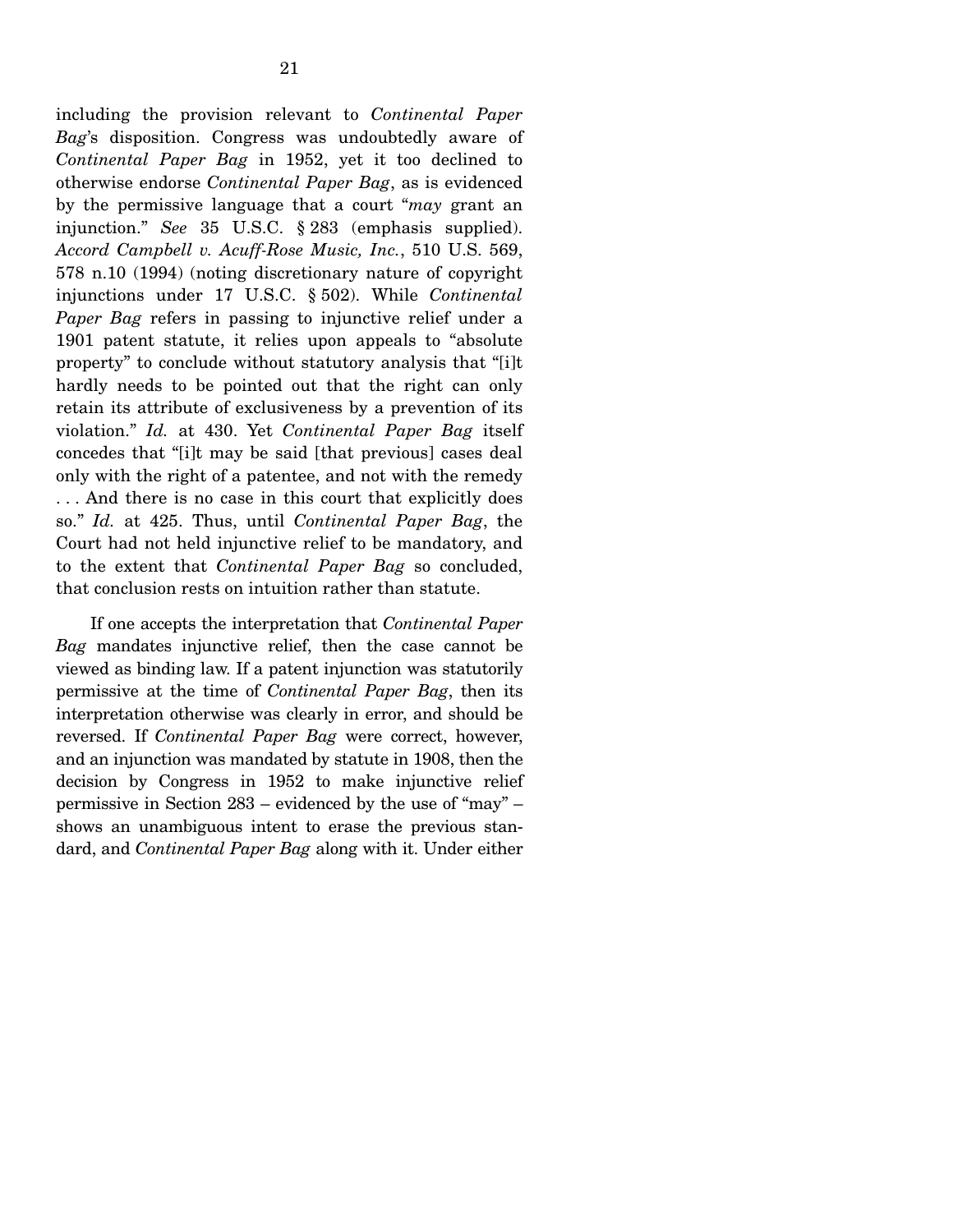including the provision relevant to *Continental Paper Bag*'s disposition. Congress was undoubtedly aware of *Continental Paper Bag* in 1952, yet it too declined to otherwise endorse *Continental Paper Bag*, as is evidenced by the permissive language that a court "*may* grant an injunction." *See* 35 U.S.C. § 283 (emphasis supplied). *Accord Campbell v. Acuff-Rose Music, Inc.*, 510 U.S. 569, 578 n.10 (1994) (noting discretionary nature of copyright injunctions under 17 U.S.C. § 502). While *Continental Paper Bag* refers in passing to injunctive relief under a 1901 patent statute, it relies upon appeals to "absolute property" to conclude without statutory analysis that "[i]t hardly needs to be pointed out that the right can only retain its attribute of exclusiveness by a prevention of its violation." *Id.* at 430. Yet *Continental Paper Bag* itself concedes that "[i]t may be said [that previous] cases deal only with the right of a patentee, and not with the remedy . . . And there is no case in this court that explicitly does so." *Id.* at 425. Thus, until *Continental Paper Bag*, the Court had not held injunctive relief to be mandatory, and to the extent that *Continental Paper Bag* so concluded, that conclusion rests on intuition rather than statute.

 If one accepts the interpretation that *Continental Paper Bag* mandates injunctive relief, then the case cannot be viewed as binding law. If a patent injunction was statutorily permissive at the time of *Continental Paper Bag*, then its interpretation otherwise was clearly in error, and should be reversed. If *Continental Paper Bag* were correct, however, and an injunction was mandated by statute in 1908, then the decision by Congress in 1952 to make injunctive relief permissive in Section 283 – evidenced by the use of "may" – shows an unambiguous intent to erase the previous standard, and *Continental Paper Bag* along with it. Under either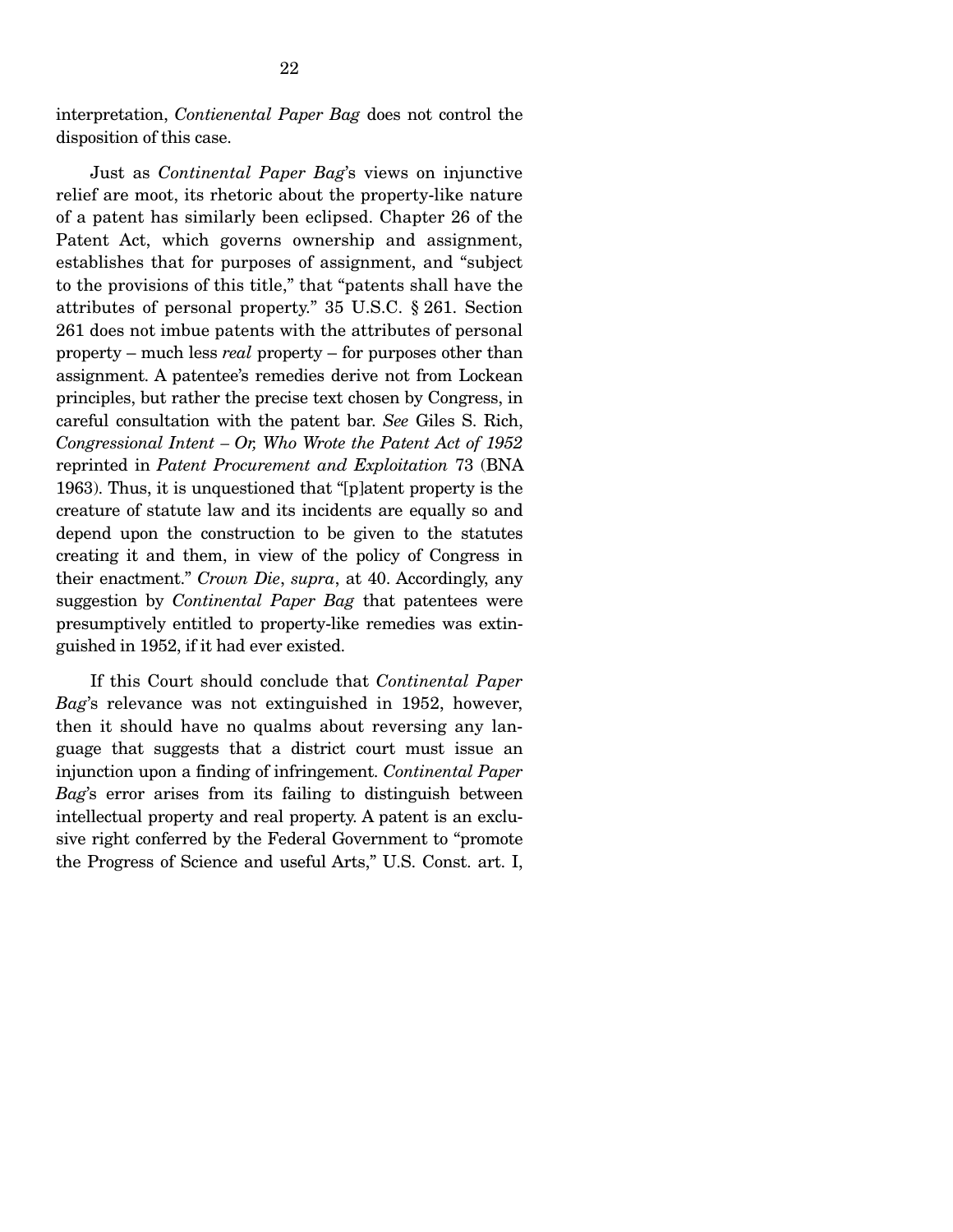interpretation, *Contienental Paper Bag* does not control the disposition of this case.

 Just as *Continental Paper Bag*'s views on injunctive relief are moot, its rhetoric about the property-like nature of a patent has similarly been eclipsed. Chapter 26 of the Patent Act, which governs ownership and assignment, establishes that for purposes of assignment, and "subject to the provisions of this title," that "patents shall have the attributes of personal property." 35 U.S.C. § 261. Section 261 does not imbue patents with the attributes of personal property – much less *real* property – for purposes other than assignment. A patentee's remedies derive not from Lockean principles, but rather the precise text chosen by Congress, in careful consultation with the patent bar. *See* Giles S. Rich, *Congressional Intent – Or, Who Wrote the Patent Act of 1952*  reprinted in *Patent Procurement and Exploitation* 73 (BNA 1963). Thus, it is unquestioned that "[p]atent property is the creature of statute law and its incidents are equally so and depend upon the construction to be given to the statutes creating it and them, in view of the policy of Congress in their enactment." *Crown Die*, *supra*, at 40. Accordingly, any suggestion by *Continental Paper Bag* that patentees were presumptively entitled to property-like remedies was extinguished in 1952, if it had ever existed.

 If this Court should conclude that *Continental Paper Bag*'s relevance was not extinguished in 1952, however, then it should have no qualms about reversing any language that suggests that a district court must issue an injunction upon a finding of infringement. *Continental Paper Bag*'s error arises from its failing to distinguish between intellectual property and real property. A patent is an exclusive right conferred by the Federal Government to "promote the Progress of Science and useful Arts," U.S. Const. art. I,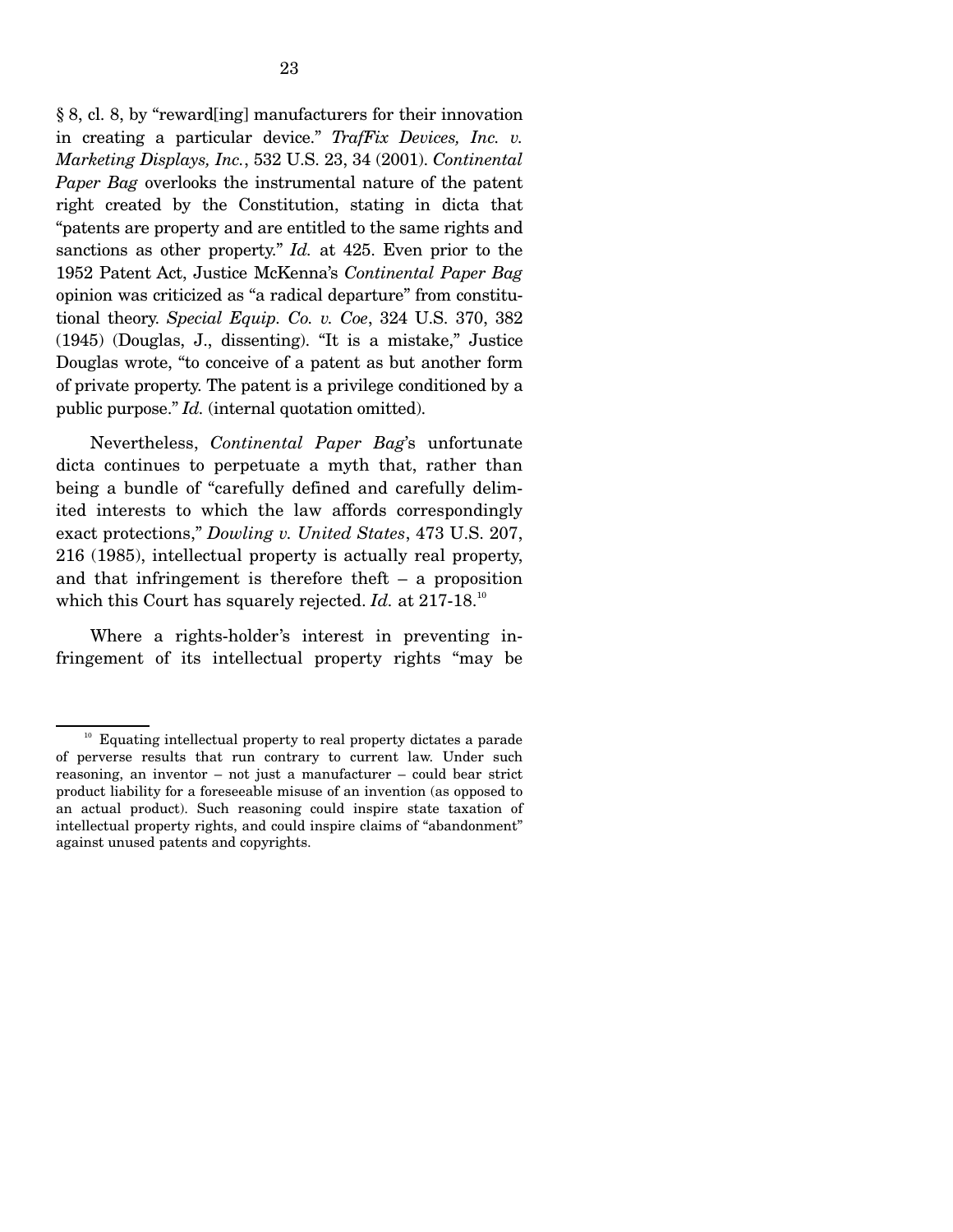§ 8, cl. 8, by "reward[ing] manufacturers for their innovation in creating a particular device." *TrafFix Devices, Inc. v. Marketing Displays, Inc.*, 532 U.S. 23, 34 (2001). *Continental Paper Bag* overlooks the instrumental nature of the patent right created by the Constitution, stating in dicta that "patents are property and are entitled to the same rights and sanctions as other property." *Id.* at 425. Even prior to the 1952 Patent Act, Justice McKenna's *Continental Paper Bag*  opinion was criticized as "a radical departure" from constitutional theory. *Special Equip. Co. v. Coe*, 324 U.S. 370, 382 (1945) (Douglas, J., dissenting). "It is a mistake," Justice Douglas wrote, "to conceive of a patent as but another form of private property. The patent is a privilege conditioned by a public purpose." *Id.* (internal quotation omitted).

 Nevertheless, *Continental Paper Bag*'s unfortunate dicta continues to perpetuate a myth that, rather than being a bundle of "carefully defined and carefully delimited interests to which the law affords correspondingly exact protections," *Dowling v. United States*, 473 U.S. 207, 216 (1985), intellectual property is actually real property, and that infringement is therefore theft – a proposition which this Court has squarely rejected. *Id.* at 217-18.<sup>10</sup>

 Where a rights-holder's interest in preventing infringement of its intellectual property rights "may be

 $10<sup>10</sup>$  Equating intellectual property to real property dictates a parade of perverse results that run contrary to current law. Under such reasoning, an inventor – not just a manufacturer – could bear strict product liability for a foreseeable misuse of an invention (as opposed to an actual product). Such reasoning could inspire state taxation of intellectual property rights, and could inspire claims of "abandonment" against unused patents and copyrights.